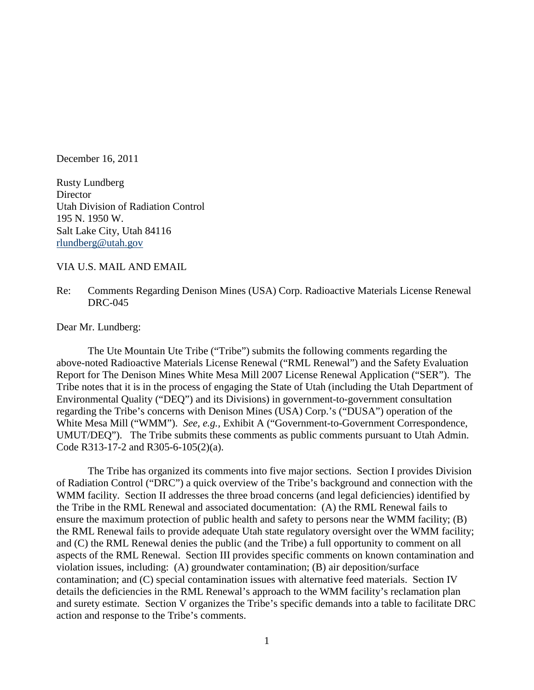December 16, 2011

Rusty Lundberg **Director** Utah Division of Radiation Control 195 N. 1950 W. Salt Lake City, Utah 84116 [rlundberg@utah.gov](mailto:rlundberg@utah.gov)

#### VIA U.S. MAIL AND EMAIL

Re: Comments Regarding Denison Mines (USA) Corp. Radioactive Materials License Renewal DRC-045

Dear Mr. Lundberg:

The Ute Mountain Ute Tribe ("Tribe") submits the following comments regarding the above-noted Radioactive Materials License Renewal ("RML Renewal") and the Safety Evaluation Report for The Denison Mines White Mesa Mill 2007 License Renewal Application ("SER"). The Tribe notes that it is in the process of engaging the State of Utah (including the Utah Department of Environmental Quality ("DEQ") and its Divisions) in government-to-government consultation regarding the Tribe's concerns with Denison Mines (USA) Corp.'s ("DUSA") operation of the White Mesa Mill ("WMM"). *See, e.g.,* Exhibit A ("Government-to-Government Correspondence, UMUT/DEQ"). The Tribe submits these comments as public comments pursuant to Utah Admin. Code R313-17-2 and R305-6-105(2)(a).

The Tribe has organized its comments into five major sections. Section I provides Division of Radiation Control ("DRC") a quick overview of the Tribe's background and connection with the WMM facility. Section II addresses the three broad concerns (and legal deficiencies) identified by the Tribe in the RML Renewal and associated documentation: (A) the RML Renewal fails to ensure the maximum protection of public health and safety to persons near the WMM facility; (B) the RML Renewal fails to provide adequate Utah state regulatory oversight over the WMM facility; and (C) the RML Renewal denies the public (and the Tribe) a full opportunity to comment on all aspects of the RML Renewal. Section III provides specific comments on known contamination and violation issues, including: (A) groundwater contamination; (B) air deposition/surface contamination; and (C) special contamination issues with alternative feed materials. Section IV details the deficiencies in the RML Renewal's approach to the WMM facility's reclamation plan and surety estimate. Section V organizes the Tribe's specific demands into a table to facilitate DRC action and response to the Tribe's comments.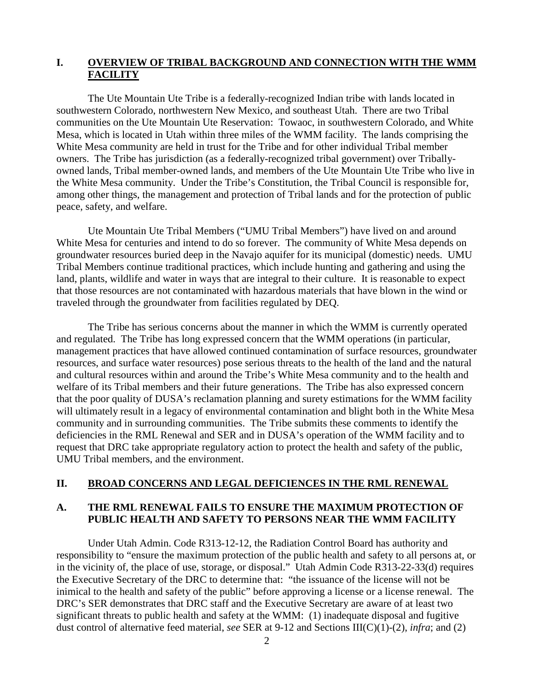# **I. OVERVIEW OF TRIBAL BACKGROUND AND CONNECTION WITH THE WMM FACILITY**

The Ute Mountain Ute Tribe is a federally-recognized Indian tribe with lands located in southwestern Colorado, northwestern New Mexico, and southeast Utah. There are two Tribal communities on the Ute Mountain Ute Reservation: Towaoc, in southwestern Colorado, and White Mesa, which is located in Utah within three miles of the WMM facility. The lands comprising the White Mesa community are held in trust for the Tribe and for other individual Tribal member owners. The Tribe has jurisdiction (as a federally-recognized tribal government) over Triballyowned lands, Tribal member-owned lands, and members of the Ute Mountain Ute Tribe who live in the White Mesa community. Under the Tribe's Constitution, the Tribal Council is responsible for, among other things, the management and protection of Tribal lands and for the protection of public peace, safety, and welfare.

Ute Mountain Ute Tribal Members ("UMU Tribal Members") have lived on and around White Mesa for centuries and intend to do so forever. The community of White Mesa depends on groundwater resources buried deep in the Navajo aquifer for its municipal (domestic) needs. UMU Tribal Members continue traditional practices, which include hunting and gathering and using the land, plants, wildlife and water in ways that are integral to their culture. It is reasonable to expect that those resources are not contaminated with hazardous materials that have blown in the wind or traveled through the groundwater from facilities regulated by DEQ.

The Tribe has serious concerns about the manner in which the WMM is currently operated and regulated. The Tribe has long expressed concern that the WMM operations (in particular, management practices that have allowed continued contamination of surface resources, groundwater resources, and surface water resources) pose serious threats to the health of the land and the natural and cultural resources within and around the Tribe's White Mesa community and to the health and welfare of its Tribal members and their future generations. The Tribe has also expressed concern that the poor quality of DUSA's reclamation planning and surety estimations for the WMM facility will ultimately result in a legacy of environmental contamination and blight both in the White Mesa community and in surrounding communities. The Tribe submits these comments to identify the deficiencies in the RML Renewal and SER and in DUSA's operation of the WMM facility and to request that DRC take appropriate regulatory action to protect the health and safety of the public, UMU Tribal members, and the environment.

## **II. BROAD CONCERNS AND LEGAL DEFICIENCES IN THE RML RENEWAL**

## **A. THE RML RENEWAL FAILS TO ENSURE THE MAXIMUM PROTECTION OF PUBLIC HEALTH AND SAFETY TO PERSONS NEAR THE WMM FACILITY**

Under Utah Admin. Code R313-12-12, the Radiation Control Board has authority and responsibility to "ensure the maximum protection of the public health and safety to all persons at, or in the vicinity of, the place of use, storage, or disposal." Utah Admin Code R313-22-33(d) requires the Executive Secretary of the DRC to determine that: "the issuance of the license will not be inimical to the health and safety of the public" before approving a license or a license renewal. The DRC's SER demonstrates that DRC staff and the Executive Secretary are aware of at least two significant threats to public health and safety at the WMM: (1) inadequate disposal and fugitive dust control of alternative feed material, *see* SER at 9-12 and Sections III(C)(1)-(2), *infra*; and (2)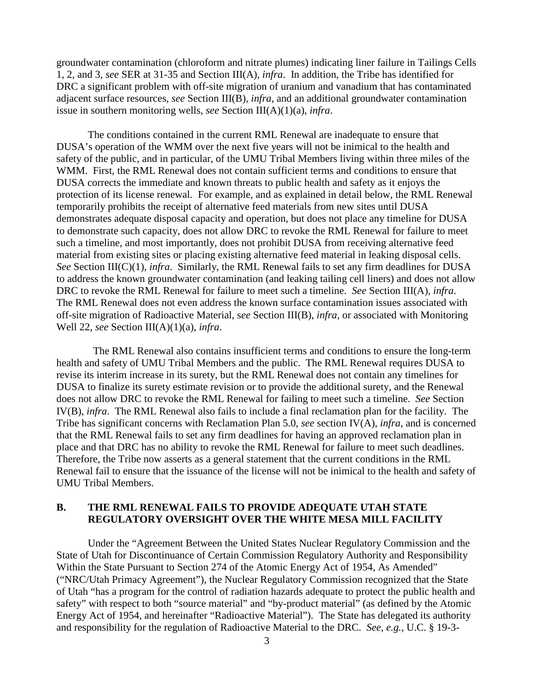groundwater contamination (chloroform and nitrate plumes) indicating liner failure in Tailings Cells 1, 2, and 3, *see* SER at 31-35 and Section III(A), *infra*. In addition, the Tribe has identified for DRC a significant problem with off-site migration of uranium and vanadium that has contaminated adjacent surface resources, *see* Section III(B), *infra*, and an additional groundwater contamination issue in southern monitoring wells, *see* Section III(A)(1)(a), *infra*.

The conditions contained in the current RML Renewal are inadequate to ensure that DUSA's operation of the WMM over the next five years will not be inimical to the health and safety of the public, and in particular, of the UMU Tribal Members living within three miles of the WMM. First, the RML Renewal does not contain sufficient terms and conditions to ensure that DUSA corrects the immediate and known threats to public health and safety as it enjoys the protection of its license renewal. For example, and as explained in detail below, the RML Renewal temporarily prohibits the receipt of alternative feed materials from new sites until DUSA demonstrates adequate disposal capacity and operation, but does not place any timeline for DUSA to demonstrate such capacity, does not allow DRC to revoke the RML Renewal for failure to meet such a timeline, and most importantly, does not prohibit DUSA from receiving alternative feed material from existing sites or placing existing alternative feed material in leaking disposal cells. *See* Section III(C)(1), *infra*. Similarly, the RML Renewal fails to set any firm deadlines for DUSA to address the known groundwater contamination (and leaking tailing cell liners) and does not allow DRC to revoke the RML Renewal for failure to meet such a timeline. *See* Section III(A), *infra*. The RML Renewal does not even address the known surface contamination issues associated with off-site migration of Radioactive Material, s*ee* Section III(B), *infra*, or associated with Monitoring Well 22, *see* Section III(A)(1)(a), *infra*.

 The RML Renewal also contains insufficient terms and conditions to ensure the long-term health and safety of UMU Tribal Members and the public. The RML Renewal requires DUSA to revise its interim increase in its surety, but the RML Renewal does not contain any timelines for DUSA to finalize its surety estimate revision or to provide the additional surety, and the Renewal does not allow DRC to revoke the RML Renewal for failing to meet such a timeline. *See* Section IV(B), *infra*. The RML Renewal also fails to include a final reclamation plan for the facility. The Tribe has significant concerns with Reclamation Plan 5.0, *see* section IV(A), *infra*, and is concerned that the RML Renewal fails to set any firm deadlines for having an approved reclamation plan in place and that DRC has no ability to revoke the RML Renewal for failure to meet such deadlines. Therefore, the Tribe now asserts as a general statement that the current conditions in the RML Renewal fail to ensure that the issuance of the license will not be inimical to the health and safety of UMU Tribal Members.

## **B. THE RML RENEWAL FAILS TO PROVIDE ADEQUATE UTAH STATE REGULATORY OVERSIGHT OVER THE WHITE MESA MILL FACILITY**

Under the "Agreement Between the United States Nuclear Regulatory Commission and the State of Utah for Discontinuance of Certain Commission Regulatory Authority and Responsibility Within the State Pursuant to Section 274 of the Atomic Energy Act of 1954, As Amended" ("NRC/Utah Primacy Agreement"), the Nuclear Regulatory Commission recognized that the State of Utah "has a program for the control of radiation hazards adequate to protect the public health and safety" with respect to both "source material" and "by-product material" (as defined by the Atomic Energy Act of 1954, and hereinafter "Radioactive Material"). The State has delegated its authority and responsibility for the regulation of Radioactive Material to the DRC. *See, e.g.*, U.C. § 19-3-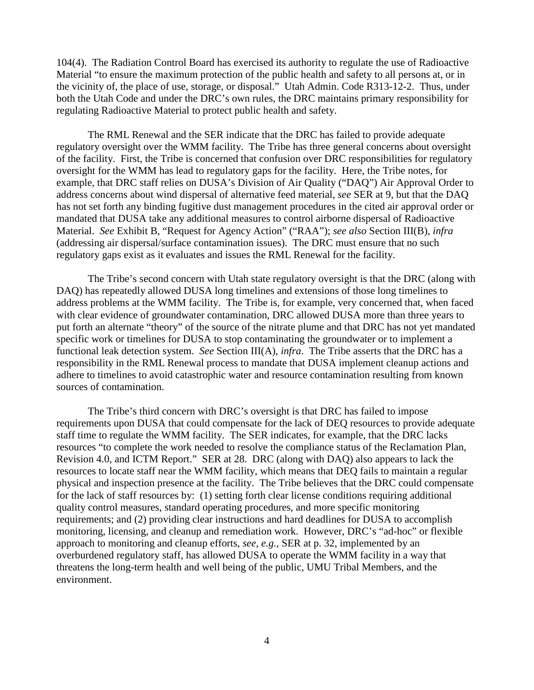104(4). The Radiation Control Board has exercised its authority to regulate the use of Radioactive Material "to ensure the maximum protection of the public health and safety to all persons at, or in the vicinity of, the place of use, storage, or disposal." Utah Admin. Code R313-12-2. Thus, under both the Utah Code and under the DRC's own rules, the DRC maintains primary responsibility for regulating Radioactive Material to protect public health and safety.

The RML Renewal and the SER indicate that the DRC has failed to provide adequate regulatory oversight over the WMM facility. The Tribe has three general concerns about oversight of the facility. First, the Tribe is concerned that confusion over DRC responsibilities for regulatory oversight for the WMM has lead to regulatory gaps for the facility. Here, the Tribe notes, for example, that DRC staff relies on DUSA's Division of Air Quality ("DAQ") Air Approval Order to address concerns about wind dispersal of alternative feed material, *see* SER at 9, but that the DAQ has not set forth any binding fugitive dust management procedures in the cited air approval order or mandated that DUSA take any additional measures to control airborne dispersal of Radioactive Material. *See* Exhibit B, "Request for Agency Action" ("RAA"); *see also* Section III(B), *infra* (addressing air dispersal/surface contamination issues). The DRC must ensure that no such regulatory gaps exist as it evaluates and issues the RML Renewal for the facility.

The Tribe's second concern with Utah state regulatory oversight is that the DRC (along with DAQ) has repeatedly allowed DUSA long timelines and extensions of those long timelines to address problems at the WMM facility. The Tribe is, for example, very concerned that, when faced with clear evidence of groundwater contamination, DRC allowed DUSA more than three years to put forth an alternate "theory" of the source of the nitrate plume and that DRC has not yet mandated specific work or timelines for DUSA to stop contaminating the groundwater or to implement a functional leak detection system. *See* Section III(A), *infra*. The Tribe asserts that the DRC has a responsibility in the RML Renewal process to mandate that DUSA implement cleanup actions and adhere to timelines to avoid catastrophic water and resource contamination resulting from known sources of contamination.

The Tribe's third concern with DRC's oversight is that DRC has failed to impose requirements upon DUSA that could compensate for the lack of DEQ resources to provide adequate staff time to regulate the WMM facility. The SER indicates, for example, that the DRC lacks resources "to complete the work needed to resolve the compliance status of the Reclamation Plan, Revision 4.0, and ICTM Report." SER at 28. DRC (along with DAQ) also appears to lack the resources to locate staff near the WMM facility, which means that DEQ fails to maintain a regular physical and inspection presence at the facility. The Tribe believes that the DRC could compensate for the lack of staff resources by: (1) setting forth clear license conditions requiring additional quality control measures, standard operating procedures, and more specific monitoring requirements; and (2) providing clear instructions and hard deadlines for DUSA to accomplish monitoring, licensing, and cleanup and remediation work. However, DRC's "ad-hoc" or flexible approach to monitoring and cleanup efforts, *see, e.g.,* SER at p. 32, implemented by an overburdened regulatory staff, has allowed DUSA to operate the WMM facility in a way that threatens the long-term health and well being of the public, UMU Tribal Members, and the environment.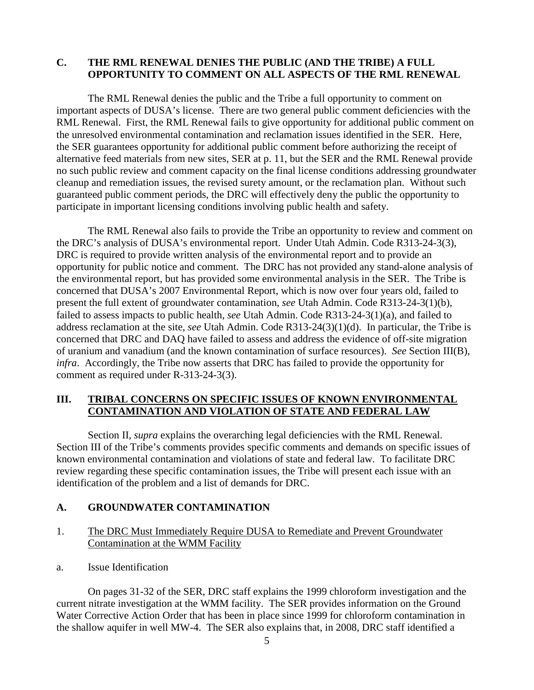# **C. THE RML RENEWAL DENIES THE PUBLIC (AND THE TRIBE) A FULL OPPORTUNITY TO COMMENT ON ALL ASPECTS OF THE RML RENEWAL**

The RML Renewal denies the public and the Tribe a full opportunity to comment on important aspects of DUSA's license. There are two general public comment deficiencies with the RML Renewal. First, the RML Renewal fails to give opportunity for additional public comment on the unresolved environmental contamination and reclamation issues identified in the SER. Here, the SER guarantees opportunity for additional public comment before authorizing the receipt of alternative feed materials from new sites, SER at p. 11, but the SER and the RML Renewal provide no such public review and comment capacity on the final license conditions addressing groundwater cleanup and remediation issues, the revised surety amount, or the reclamation plan. Without such guaranteed public comment periods, the DRC will effectively deny the public the opportunity to participate in important licensing conditions involving public health and safety.

The RML Renewal also fails to provide the Tribe an opportunity to review and comment on the DRC's analysis of DUSA's environmental report. Under Utah Admin. Code R313-24-3(3), DRC is required to provide written analysis of the environmental report and to provide an opportunity for public notice and comment. The DRC has not provided any stand-alone analysis of the environmental report, but has provided some environmental analysis in the SER. The Tribe is concerned that DUSA's 2007 Environmental Report, which is now over four years old, failed to present the full extent of groundwater contamination, *see* Utah Admin. Code R313-24-3(1)(b), failed to assess impacts to public health, *see* Utah Admin. Code R313-24-3(1)(a), and failed to address reclamation at the site, *see* Utah Admin. Code R313-24(3)(1)(d). In particular, the Tribe is concerned that DRC and DAQ have failed to assess and address the evidence of off-site migration of uranium and vanadium (and the known contamination of surface resources). *See* Section III(B), *infra*. Accordingly, the Tribe now asserts that DRC has failed to provide the opportunity for comment as required under R-313-24-3(3).

# **III. TRIBAL CONCERNS ON SPECIFIC ISSUES OF KNOWN ENVIRONMENTAL CONTAMINATION AND VIOLATION OF STATE AND FEDERAL LAW**

Section II, *supra* explains the overarching legal deficiencies with the RML Renewal. Section III of the Tribe's comments provides specific comments and demands on specific issues of known environmental contamination and violations of state and federal law. To facilitate DRC review regarding these specific contamination issues, the Tribe will present each issue with an identification of the problem and a list of demands for DRC.

## **A. GROUNDWATER CONTAMINATION**

- 1. The DRC Must Immediately Require DUSA to Remediate and Prevent Groundwater Contamination at the WMM Facility
- a. Issue Identification

On pages 31-32 of the SER, DRC staff explains the 1999 chloroform investigation and the current nitrate investigation at the WMM facility. The SER provides information on the Ground Water Corrective Action Order that has been in place since 1999 for chloroform contamination in the shallow aquifer in well MW-4. The SER also explains that, in 2008, DRC staff identified a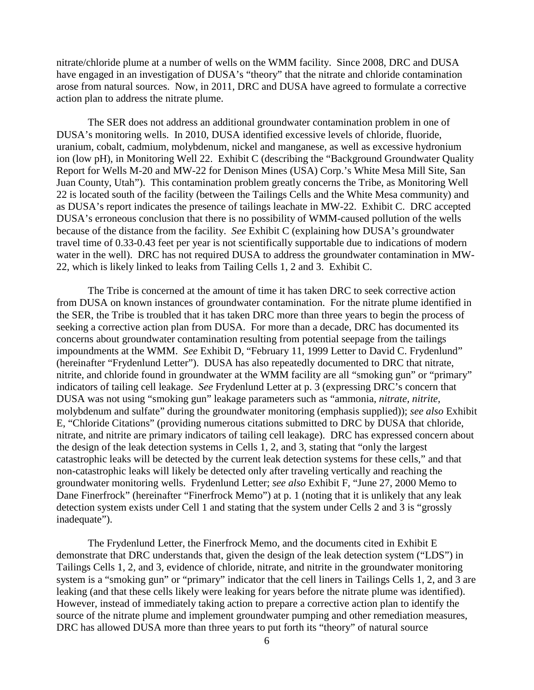nitrate/chloride plume at a number of wells on the WMM facility. Since 2008, DRC and DUSA have engaged in an investigation of DUSA's "theory" that the nitrate and chloride contamination arose from natural sources. Now, in 2011, DRC and DUSA have agreed to formulate a corrective action plan to address the nitrate plume.

The SER does not address an additional groundwater contamination problem in one of DUSA's monitoring wells. In 2010, DUSA identified excessive levels of chloride, fluoride, uranium, cobalt, cadmium, molybdenum, nickel and manganese, as well as excessive hydronium ion (low pH), in Monitoring Well 22. Exhibit C (describing the "Background Groundwater Quality Report for Wells M-20 and MW-22 for Denison Mines (USA) Corp.'s White Mesa Mill Site, San Juan County, Utah"). This contamination problem greatly concerns the Tribe, as Monitoring Well 22 is located south of the facility (between the Tailings Cells and the White Mesa community) and as DUSA's report indicates the presence of tailings leachate in MW-22. Exhibit C. DRC accepted DUSA's erroneous conclusion that there is no possibility of WMM-caused pollution of the wells because of the distance from the facility. *See* Exhibit C (explaining how DUSA's groundwater travel time of 0.33-0.43 feet per year is not scientifically supportable due to indications of modern water in the well). DRC has not required DUSA to address the groundwater contamination in MW-22, which is likely linked to leaks from Tailing Cells 1, 2 and 3. Exhibit C.

The Tribe is concerned at the amount of time it has taken DRC to seek corrective action from DUSA on known instances of groundwater contamination. For the nitrate plume identified in the SER, the Tribe is troubled that it has taken DRC more than three years to begin the process of seeking a corrective action plan from DUSA. For more than a decade, DRC has documented its concerns about groundwater contamination resulting from potential seepage from the tailings impoundments at the WMM. *See* Exhibit D, "February 11, 1999 Letter to David C. Frydenlund" (hereinafter "Frydenlund Letter"). DUSA has also repeatedly documented to DRC that nitrate, nitrite, and chloride found in groundwater at the WMM facility are all "smoking gun" or "primary" indicators of tailing cell leakage. *See* Frydenlund Letter at p. 3 (expressing DRC's concern that DUSA was not using "smoking gun" leakage parameters such as "ammonia, *nitrate, nitrite,* molybdenum and sulfate" during the groundwater monitoring (emphasis supplied)); *see also* Exhibit E, "Chloride Citations" (providing numerous citations submitted to DRC by DUSA that chloride, nitrate, and nitrite are primary indicators of tailing cell leakage). DRC has expressed concern about the design of the leak detection systems in Cells 1, 2, and 3, stating that "only the largest catastrophic leaks will be detected by the current leak detection systems for these cells," and that non-catastrophic leaks will likely be detected only after traveling vertically and reaching the groundwater monitoring wells. Frydenlund Letter; *see also* Exhibit F, "June 27, 2000 Memo to Dane Finerfrock" (hereinafter "Finerfrock Memo") at p. 1 (noting that it is unlikely that any leak detection system exists under Cell 1 and stating that the system under Cells 2 and 3 is "grossly inadequate").

The Frydenlund Letter, the Finerfrock Memo, and the documents cited in Exhibit E demonstrate that DRC understands that, given the design of the leak detection system ("LDS") in Tailings Cells 1, 2, and 3, evidence of chloride, nitrate, and nitrite in the groundwater monitoring system is a "smoking gun" or "primary" indicator that the cell liners in Tailings Cells 1, 2, and 3 are leaking (and that these cells likely were leaking for years before the nitrate plume was identified). However, instead of immediately taking action to prepare a corrective action plan to identify the source of the nitrate plume and implement groundwater pumping and other remediation measures, DRC has allowed DUSA more than three years to put forth its "theory" of natural source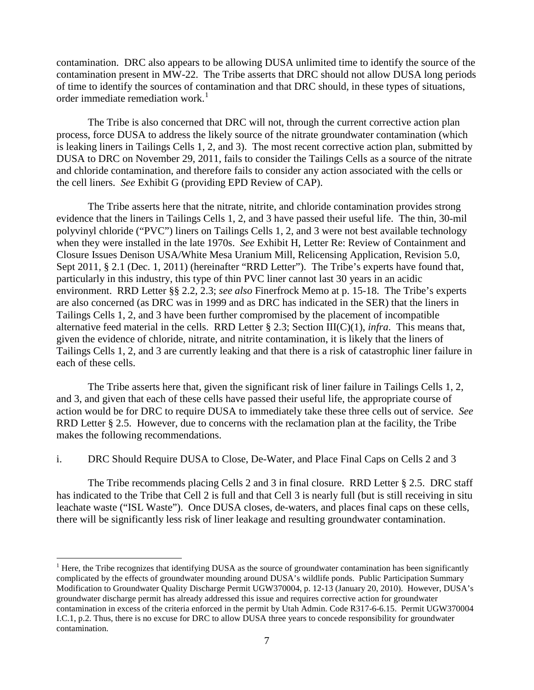contamination. DRC also appears to be allowing DUSA unlimited time to identify the source of the contamination present in MW-22. The Tribe asserts that DRC should not allow DUSA long periods of time to identify the sources of contamination and that DRC should, in these types of situations, order immediate remediation work. $<sup>1</sup>$  $<sup>1</sup>$  $<sup>1</sup>$ </sup>

The Tribe is also concerned that DRC will not, through the current corrective action plan process, force DUSA to address the likely source of the nitrate groundwater contamination (which is leaking liners in Tailings Cells 1, 2, and 3). The most recent corrective action plan, submitted by DUSA to DRC on November 29, 2011, fails to consider the Tailings Cells as a source of the nitrate and chloride contamination, and therefore fails to consider any action associated with the cells or the cell liners. *See* Exhibit G (providing EPD Review of CAP).

The Tribe asserts here that the nitrate, nitrite, and chloride contamination provides strong evidence that the liners in Tailings Cells 1, 2, and 3 have passed their useful life. The thin, 30-mil polyvinyl chloride ("PVC") liners on Tailings Cells 1, 2, and 3 were not best available technology when they were installed in the late 1970s. *See* Exhibit H, Letter Re: Review of Containment and Closure Issues Denison USA/White Mesa Uranium Mill, Relicensing Application, Revision 5.0, Sept 2011, § 2.1 (Dec. 1, 2011) (hereinafter "RRD Letter"). The Tribe's experts have found that, particularly in this industry, this type of thin PVC liner cannot last 30 years in an acidic environment. RRD Letter §§ 2.2, 2.3; *see also* Finerfrock Memo at p. 15-18. The Tribe's experts are also concerned (as DRC was in 1999 and as DRC has indicated in the SER) that the liners in Tailings Cells 1, 2, and 3 have been further compromised by the placement of incompatible alternative feed material in the cells. RRD Letter § 2.3; Section III(C)(1), *infra*. This means that, given the evidence of chloride, nitrate, and nitrite contamination, it is likely that the liners of Tailings Cells 1, 2, and 3 are currently leaking and that there is a risk of catastrophic liner failure in each of these cells.

The Tribe asserts here that, given the significant risk of liner failure in Tailings Cells 1, 2, and 3, and given that each of these cells have passed their useful life, the appropriate course of action would be for DRC to require DUSA to immediately take these three cells out of service. *See* RRD Letter § 2.5. However, due to concerns with the reclamation plan at the facility, the Tribe makes the following recommendations.

i. DRC Should Require DUSA to Close, De-Water, and Place Final Caps on Cells 2 and 3

The Tribe recommends placing Cells 2 and 3 in final closure. RRD Letter § 2.5. DRC staff has indicated to the Tribe that Cell 2 is full and that Cell 3 is nearly full (but is still receiving in situ leachate waste ("ISL Waste"). Once DUSA closes, de-waters, and places final caps on these cells, there will be significantly less risk of liner leakage and resulting groundwater contamination.

<span id="page-6-0"></span> $<sup>1</sup>$  Here, the Tribe recognizes that identifying DUSA as the source of groundwater contamination has been significantly</sup> complicated by the effects of groundwater mounding around DUSA's wildlife ponds. Public Participation Summary Modification to Groundwater Quality Discharge Permit UGW370004, p. 12-13 (January 20, 2010). However, DUSA's groundwater discharge permit has already addressed this issue and requires corrective action for groundwater contamination in excess of the criteria enforced in the permit by Utah Admin. Code R317-6-6.15. Permit UGW370004 I.C.1, p.2. Thus, there is no excuse for DRC to allow DUSA three years to concede responsibility for groundwater contamination.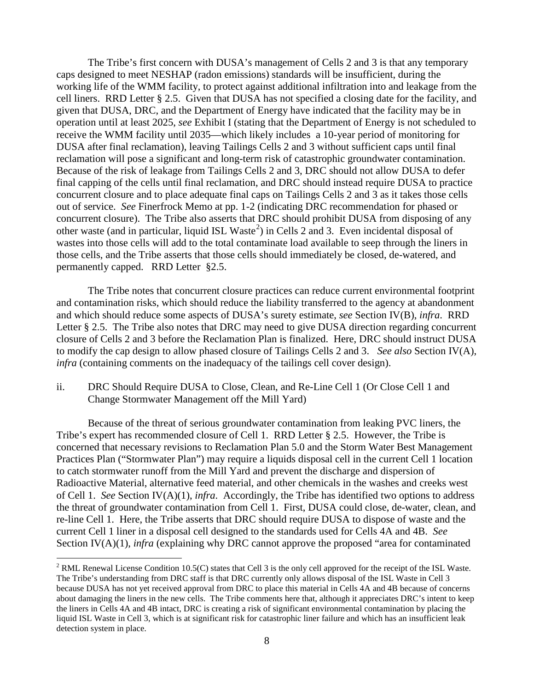The Tribe's first concern with DUSA's management of Cells 2 and 3 is that any temporary caps designed to meet NESHAP (radon emissions) standards will be insufficient, during the working life of the WMM facility, to protect against additional infiltration into and leakage from the cell liners. RRD Letter § 2.5. Given that DUSA has not specified a closing date for the facility, and given that DUSA, DRC, and the Department of Energy have indicated that the facility may be in operation until at least 2025, *see* Exhibit I (stating that the Department of Energy is not scheduled to receive the WMM facility until 2035—which likely includes a 10-year period of monitoring for DUSA after final reclamation), leaving Tailings Cells 2 and 3 without sufficient caps until final reclamation will pose a significant and long-term risk of catastrophic groundwater contamination. Because of the risk of leakage from Tailings Cells 2 and 3, DRC should not allow DUSA to defer final capping of the cells until final reclamation, and DRC should instead require DUSA to practice concurrent closure and to place adequate final caps on Tailings Cells 2 and 3 as it takes those cells out of service. *See* Finerfrock Memo at pp. 1-2 (indicating DRC recommendation for phased or concurrent closure). The Tribe also asserts that DRC should prohibit DUSA from disposing of any other waste (and in particular, liquid ISL Waste<sup>[2](#page-7-0)</sup>) in Cells 2 and 3. Even incidental disposal of wastes into those cells will add to the total contaminate load available to seep through the liners in those cells, and the Tribe asserts that those cells should immediately be closed, de-watered, and permanently capped. RRD Letter §2.5.

The Tribe notes that concurrent closure practices can reduce current environmental footprint and contamination risks, which should reduce the liability transferred to the agency at abandonment and which should reduce some aspects of DUSA's surety estimate, *see* Section IV(B), *infra*. RRD Letter § 2.5. The Tribe also notes that DRC may need to give DUSA direction regarding concurrent closure of Cells 2 and 3 before the Reclamation Plan is finalized. Here, DRC should instruct DUSA to modify the cap design to allow phased closure of Tailings Cells 2 and 3. *See also* Section IV(A), *infra* (containing comments on the inadequacy of the tailings cell cover design).

ii. DRC Should Require DUSA to Close, Clean, and Re-Line Cell 1 (Or Close Cell 1 and Change Stormwater Management off the Mill Yard)

Because of the threat of serious groundwater contamination from leaking PVC liners, the Tribe's expert has recommended closure of Cell 1. RRD Letter § 2.5. However, the Tribe is concerned that necessary revisions to Reclamation Plan 5.0 and the Storm Water Best Management Practices Plan ("Stormwater Plan") may require a liquids disposal cell in the current Cell 1 location to catch stormwater runoff from the Mill Yard and prevent the discharge and dispersion of Radioactive Material, alternative feed material, and other chemicals in the washes and creeks west of Cell 1. *See* Section IV(A)(1), *infra*. Accordingly, the Tribe has identified two options to address the threat of groundwater contamination from Cell 1. First, DUSA could close, de-water, clean, and re-line Cell 1. Here, the Tribe asserts that DRC should require DUSA to dispose of waste and the current Cell 1 liner in a disposal cell designed to the standards used for Cells 4A and 4B. *See* Section IV(A)(1), *infra* (explaining why DRC cannot approve the proposed "area for contaminated

<span id="page-7-0"></span><sup>&</sup>lt;sup>2</sup> RML Renewal License Condition 10.5(C) states that Cell 3 is the only cell approved for the receipt of the ISL Waste. The Tribe's understanding from DRC staff is that DRC currently only allows disposal of the ISL Waste in Cell 3 because DUSA has not yet received approval from DRC to place this material in Cells 4A and 4B because of concerns about damaging the liners in the new cells. The Tribe comments here that, although it appreciates DRC's intent to keep the liners in Cells 4A and 4B intact, DRC is creating a risk of significant environmental contamination by placing the liquid ISL Waste in Cell 3, which is at significant risk for catastrophic liner failure and which has an insufficient leak detection system in place.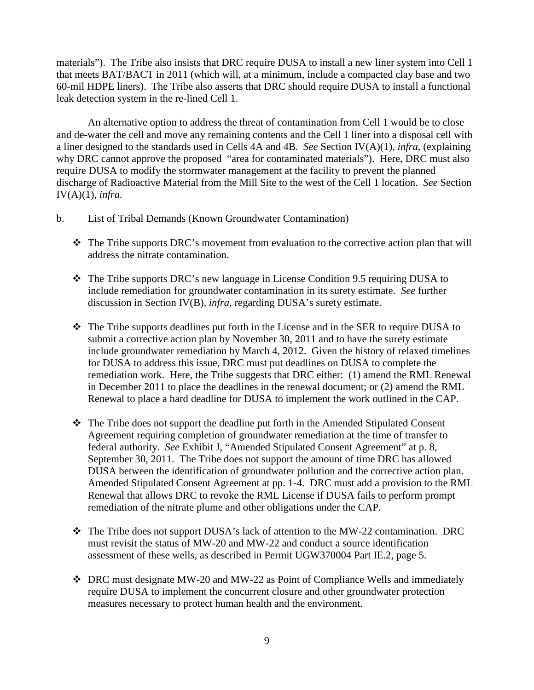materials"). The Tribe also insists that DRC require DUSA to install a new liner system into Cell 1 that meets BAT/BACT in 2011 (which will, at a minimum, include a compacted clay base and two 60-mil HDPE liners). The Tribe also asserts that DRC should require DUSA to install a functional leak detection system in the re-lined Cell 1.

An alternative option to address the threat of contamination from Cell 1 would be to close and de-water the cell and move any remaining contents and the Cell 1 liner into a disposal cell with a liner designed to the standards used in Cells 4A and 4B. *See* Section IV(A)(1), *infra*, (explaining why DRC cannot approve the proposed "area for contaminated materials"). Here, DRC must also require DUSA to modify the stormwater management at the facility to prevent the planned discharge of Radioactive Material from the Mill Site to the west of the Cell 1 location. *See* Section IV(A)(1), *infra*.

- b. List of Tribal Demands (Known Groundwater Contamination)
	- \* The Tribe supports DRC's movement from evaluation to the corrective action plan that will address the nitrate contamination.
	- The Tribe supports DRC's new language in License Condition 9.5 requiring DUSA to include remediation for groundwater contamination in its surety estimate. *See* further discussion in Section IV(B), *infra*, regarding DUSA's surety estimate.
	- The Tribe supports deadlines put forth in the License and in the SER to require DUSA to submit a corrective action plan by November 30, 2011 and to have the surety estimate include groundwater remediation by March 4, 2012. Given the history of relaxed timelines for DUSA to address this issue, DRC must put deadlines on DUSA to complete the remediation work. Here, the Tribe suggests that DRC either: (1) amend the RML Renewal in December 2011 to place the deadlines in the renewal document; or (2) amend the RML Renewal to place a hard deadline for DUSA to implement the work outlined in the CAP.
	- \* The Tribe does not support the deadline put forth in the Amended Stipulated Consent Agreement requiring completion of groundwater remediation at the time of transfer to federal authority. *See* Exhibit J, "Amended Stipulated Consent Agreement" at p. 8, September 30, 2011. The Tribe does not support the amount of time DRC has allowed DUSA between the identification of groundwater pollution and the corrective action plan. Amended Stipulated Consent Agreement at pp. 1-4. DRC must add a provision to the RML Renewal that allows DRC to revoke the RML License if DUSA fails to perform prompt remediation of the nitrate plume and other obligations under the CAP.
	- The Tribe does not support DUSA's lack of attention to the MW-22 contamination. DRC must revisit the status of MW-20 and MW-22 and conduct a source identification assessment of these wells, as described in Permit UGW370004 Part IE.2, page 5.
	- DRC must designate MW-20 and MW-22 as Point of Compliance Wells and immediately require DUSA to implement the concurrent closure and other groundwater protection measures necessary to protect human health and the environment.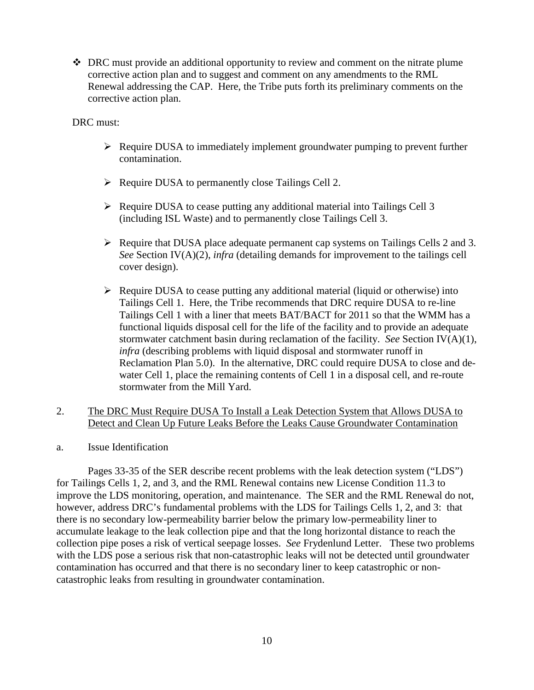DRC must provide an additional opportunity to review and comment on the nitrate plume corrective action plan and to suggest and comment on any amendments to the RML Renewal addressing the CAP. Here, the Tribe puts forth its preliminary comments on the corrective action plan.

DRC must:

- $\triangleright$  Require DUSA to immediately implement groundwater pumping to prevent further contamination.
- $\triangleright$  Require DUSA to permanently close Tailings Cell 2.
- $\triangleright$  Require DUSA to cease putting any additional material into Tailings Cell 3 (including ISL Waste) and to permanently close Tailings Cell 3.
- $\triangleright$  Require that DUSA place adequate permanent cap systems on Tailings Cells 2 and 3. *See* Section IV(A)(2), *infra* (detailing demands for improvement to the tailings cell cover design).
- $\triangleright$  Require DUSA to cease putting any additional material (liquid or otherwise) into Tailings Cell 1. Here, the Tribe recommends that DRC require DUSA to re-line Tailings Cell 1 with a liner that meets BAT/BACT for 2011 so that the WMM has a functional liquids disposal cell for the life of the facility and to provide an adequate stormwater catchment basin during reclamation of the facility. *See* Section IV(A)(1), *infra* (describing problems with liquid disposal and stormwater runoff in Reclamation Plan 5.0). In the alternative, DRC could require DUSA to close and dewater Cell 1, place the remaining contents of Cell 1 in a disposal cell, and re-route stormwater from the Mill Yard.
- 2. The DRC Must Require DUSA To Install a Leak Detection System that Allows DUSA to Detect and Clean Up Future Leaks Before the Leaks Cause Groundwater Contamination
- a. Issue Identification

Pages 33-35 of the SER describe recent problems with the leak detection system ("LDS") for Tailings Cells 1, 2, and 3, and the RML Renewal contains new License Condition 11.3 to improve the LDS monitoring, operation, and maintenance. The SER and the RML Renewal do not, however, address DRC's fundamental problems with the LDS for Tailings Cells 1, 2, and 3: that there is no secondary low-permeability barrier below the primary low-permeability liner to accumulate leakage to the leak collection pipe and that the long horizontal distance to reach the collection pipe poses a risk of vertical seepage losses. *See* Frydenlund Letter. These two problems with the LDS pose a serious risk that non-catastrophic leaks will not be detected until groundwater contamination has occurred and that there is no secondary liner to keep catastrophic or noncatastrophic leaks from resulting in groundwater contamination.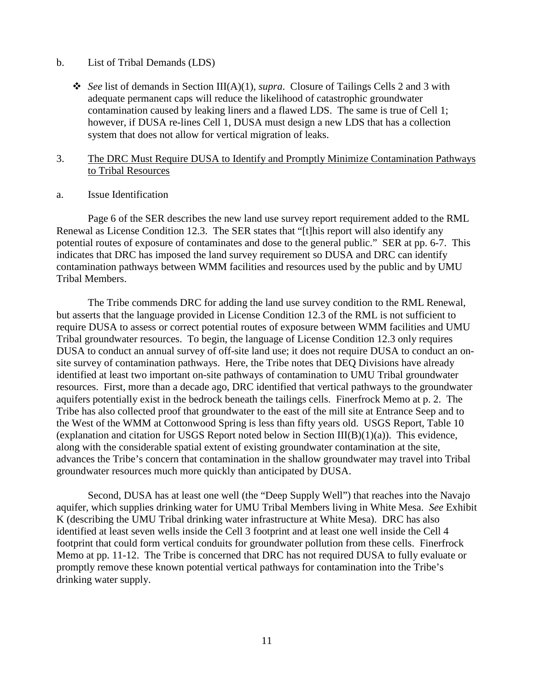#### b. List of Tribal Demands (LDS)

- *See* list of demands in Section III(A)(1), *supra*. Closure of Tailings Cells 2 and 3 with adequate permanent caps will reduce the likelihood of catastrophic groundwater contamination caused by leaking liners and a flawed LDS. The same is true of Cell 1; however, if DUSA re-lines Cell 1, DUSA must design a new LDS that has a collection system that does not allow for vertical migration of leaks.
- 3. The DRC Must Require DUSA to Identify and Promptly Minimize Contamination Pathways to Tribal Resources
- a. Issue Identification

Page 6 of the SER describes the new land use survey report requirement added to the RML Renewal as License Condition 12.3. The SER states that "[t]his report will also identify any potential routes of exposure of contaminates and dose to the general public." SER at pp. 6-7. This indicates that DRC has imposed the land survey requirement so DUSA and DRC can identify contamination pathways between WMM facilities and resources used by the public and by UMU Tribal Members.

The Tribe commends DRC for adding the land use survey condition to the RML Renewal, but asserts that the language provided in License Condition 12.3 of the RML is not sufficient to require DUSA to assess or correct potential routes of exposure between WMM facilities and UMU Tribal groundwater resources. To begin, the language of License Condition 12.3 only requires DUSA to conduct an annual survey of off-site land use; it does not require DUSA to conduct an onsite survey of contamination pathways. Here, the Tribe notes that DEQ Divisions have already identified at least two important on-site pathways of contamination to UMU Tribal groundwater resources. First, more than a decade ago, DRC identified that vertical pathways to the groundwater aquifers potentially exist in the bedrock beneath the tailings cells. Finerfrock Memo at p. 2. The Tribe has also collected proof that groundwater to the east of the mill site at Entrance Seep and to the West of the WMM at Cottonwood Spring is less than fifty years old. USGS Report, Table 10 (explanation and citation for USGS Report noted below in Section  $III(B)(1)(a)$ ). This evidence, along with the considerable spatial extent of existing groundwater contamination at the site, advances the Tribe's concern that contamination in the shallow groundwater may travel into Tribal groundwater resources much more quickly than anticipated by DUSA.

Second, DUSA has at least one well (the "Deep Supply Well") that reaches into the Navajo aquifer, which supplies drinking water for UMU Tribal Members living in White Mesa. *See* Exhibit K (describing the UMU Tribal drinking water infrastructure at White Mesa). DRC has also identified at least seven wells inside the Cell 3 footprint and at least one well inside the Cell 4 footprint that could form vertical conduits for groundwater pollution from these cells. Finerfrock Memo at pp. 11-12. The Tribe is concerned that DRC has not required DUSA to fully evaluate or promptly remove these known potential vertical pathways for contamination into the Tribe's drinking water supply.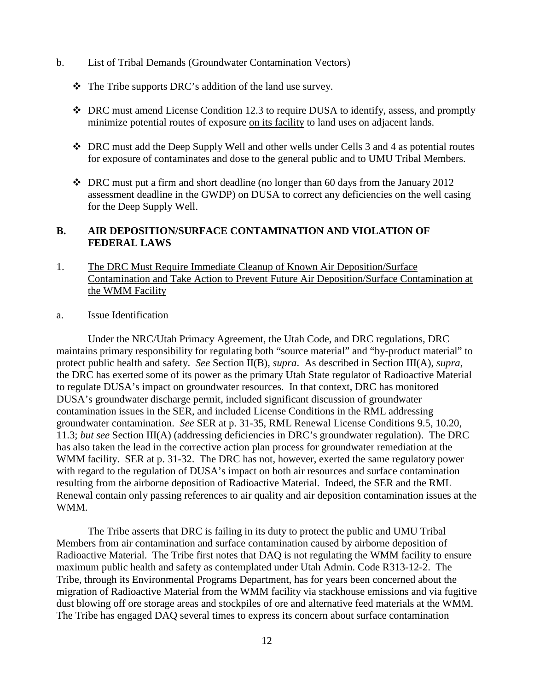- b. List of Tribal Demands (Groundwater Contamination Vectors)
	- The Tribe supports DRC's addition of the land use survey.
	- DRC must amend License Condition 12.3 to require DUSA to identify, assess, and promptly minimize potential routes of exposure on its facility to land uses on adjacent lands.
	- DRC must add the Deep Supply Well and other wells under Cells 3 and 4 as potential routes for exposure of contaminates and dose to the general public and to UMU Tribal Members.
	- DRC must put a firm and short deadline (no longer than 60 days from the January 2012 assessment deadline in the GWDP) on DUSA to correct any deficiencies on the well casing for the Deep Supply Well.

## **B. AIR DEPOSITION/SURFACE CONTAMINATION AND VIOLATION OF FEDERAL LAWS**

- 1. The DRC Must Require Immediate Cleanup of Known Air Deposition/Surface Contamination and Take Action to Prevent Future Air Deposition/Surface Contamination at the WMM Facility
- a. Issue Identification

Under the NRC/Utah Primacy Agreement, the Utah Code, and DRC regulations, DRC maintains primary responsibility for regulating both "source material" and "by-product material" to protect public health and safety. *See* Section II(B), *supra*. As described in Section III(A), *supra*, the DRC has exerted some of its power as the primary Utah State regulator of Radioactive Material to regulate DUSA's impact on groundwater resources. In that context, DRC has monitored DUSA's groundwater discharge permit, included significant discussion of groundwater contamination issues in the SER, and included License Conditions in the RML addressing groundwater contamination. *See* SER at p. 31-35, RML Renewal License Conditions 9.5, 10.20, 11.3; *but see* Section III(A) (addressing deficiencies in DRC's groundwater regulation). The DRC has also taken the lead in the corrective action plan process for groundwater remediation at the WMM facility. SER at p. 31-32. The DRC has not, however, exerted the same regulatory power with regard to the regulation of DUSA's impact on both air resources and surface contamination resulting from the airborne deposition of Radioactive Material. Indeed, the SER and the RML Renewal contain only passing references to air quality and air deposition contamination issues at the WMM.

The Tribe asserts that DRC is failing in its duty to protect the public and UMU Tribal Members from air contamination and surface contamination caused by airborne deposition of Radioactive Material. The Tribe first notes that DAQ is not regulating the WMM facility to ensure maximum public health and safety as contemplated under Utah Admin. Code R313-12-2. The Tribe, through its Environmental Programs Department, has for years been concerned about the migration of Radioactive Material from the WMM facility via stackhouse emissions and via fugitive dust blowing off ore storage areas and stockpiles of ore and alternative feed materials at the WMM. The Tribe has engaged DAQ several times to express its concern about surface contamination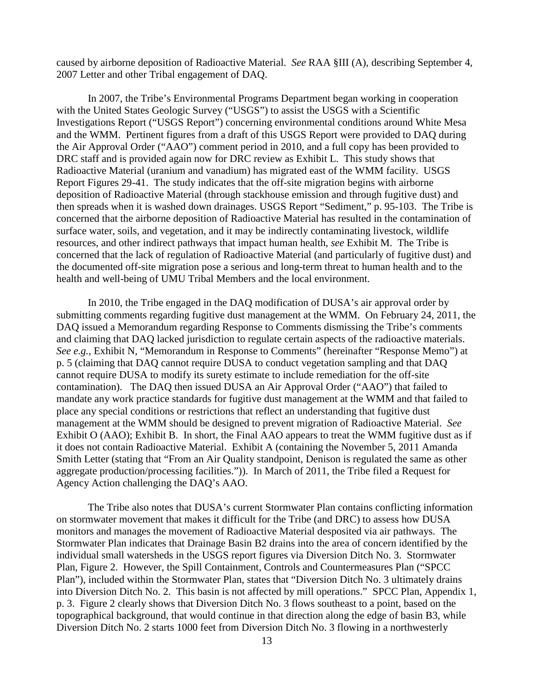caused by airborne deposition of Radioactive Material. *See* RAA §III (A), describing September 4, 2007 Letter and other Tribal engagement of DAQ.

In 2007, the Tribe's Environmental Programs Department began working in cooperation with the United States Geologic Survey ("USGS") to assist the USGS with a Scientific Investigations Report ("USGS Report") concerning environmental conditions around White Mesa and the WMM. Pertinent figures from a draft of this USGS Report were provided to DAQ during the Air Approval Order ("AAO") comment period in 2010, and a full copy has been provided to DRC staff and is provided again now for DRC review as Exhibit L. This study shows that Radioactive Material (uranium and vanadium) has migrated east of the WMM facility. USGS Report Figures 29-41. The study indicates that the off-site migration begins with airborne deposition of Radioactive Material (through stackhouse emission and through fugitive dust) and then spreads when it is washed down drainages. USGS Report "Sediment," p. 95-103. The Tribe is concerned that the airborne deposition of Radioactive Material has resulted in the contamination of surface water, soils, and vegetation, and it may be indirectly contaminating livestock, wildlife resources, and other indirect pathways that impact human health, *see* Exhibit M. The Tribe is concerned that the lack of regulation of Radioactive Material (and particularly of fugitive dust) and the documented off-site migration pose a serious and long-term threat to human health and to the health and well-being of UMU Tribal Members and the local environment.

In 2010, the Tribe engaged in the DAQ modification of DUSA's air approval order by submitting comments regarding fugitive dust management at the WMM. On February 24, 2011, the DAQ issued a Memorandum regarding Response to Comments dismissing the Tribe's comments and claiming that DAQ lacked jurisdiction to regulate certain aspects of the radioactive materials. *See e.g.,* Exhibit N, "Memorandum in Response to Comments" (hereinafter "Response Memo") at p. 5 (claiming that DAQ cannot require DUSA to conduct vegetation sampling and that DAQ cannot require DUSA to modify its surety estimate to include remediation for the off-site contamination). The DAQ then issued DUSA an Air Approval Order ("AAO") that failed to mandate any work practice standards for fugitive dust management at the WMM and that failed to place any special conditions or restrictions that reflect an understanding that fugitive dust management at the WMM should be designed to prevent migration of Radioactive Material. *See* Exhibit O (AAO); Exhibit B. In short, the Final AAO appears to treat the WMM fugitive dust as if it does not contain Radioactive Material. Exhibit A (containing the November 5, 2011 Amanda Smith Letter (stating that "From an Air Quality standpoint, Denison is regulated the same as other aggregate production/processing facilities.")). In March of 2011, the Tribe filed a Request for Agency Action challenging the DAQ's AAO.

The Tribe also notes that DUSA's current Stormwater Plan contains conflicting information on stormwater movement that makes it difficult for the Tribe (and DRC) to assess how DUSA monitors and manages the movement of Radioactive Material desposited via air pathways. The Stormwater Plan indicates that Drainage Basin B2 drains into the area of concern identified by the individual small watersheds in the USGS report figures via Diversion Ditch No. 3. Stormwater Plan, Figure 2. However, the Spill Containment, Controls and Countermeasures Plan ("SPCC Plan"), included within the Stormwater Plan, states that "Diversion Ditch No. 3 ultimately drains into Diversion Ditch No. 2. This basin is not affected by mill operations." SPCC Plan, Appendix 1, p. 3. Figure 2 clearly shows that Diversion Ditch No. 3 flows southeast to a point, based on the topographical background, that would continue in that direction along the edge of basin B3, while Diversion Ditch No. 2 starts 1000 feet from Diversion Ditch No. 3 flowing in a northwesterly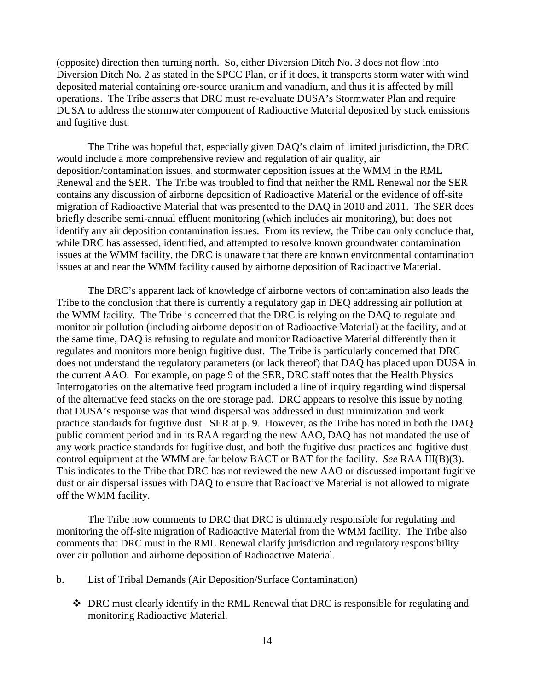(opposite) direction then turning north. So, either Diversion Ditch No. 3 does not flow into Diversion Ditch No. 2 as stated in the SPCC Plan, or if it does, it transports storm water with wind deposited material containing ore-source uranium and vanadium, and thus it is affected by mill operations. The Tribe asserts that DRC must re-evaluate DUSA's Stormwater Plan and require DUSA to address the stormwater component of Radioactive Material deposited by stack emissions and fugitive dust.

The Tribe was hopeful that, especially given DAQ's claim of limited jurisdiction, the DRC would include a more comprehensive review and regulation of air quality, air deposition/contamination issues, and stormwater deposition issues at the WMM in the RML Renewal and the SER. The Tribe was troubled to find that neither the RML Renewal nor the SER contains any discussion of airborne deposition of Radioactive Material or the evidence of off-site migration of Radioactive Material that was presented to the DAQ in 2010 and 2011. The SER does briefly describe semi-annual effluent monitoring (which includes air monitoring), but does not identify any air deposition contamination issues. From its review, the Tribe can only conclude that, while DRC has assessed, identified, and attempted to resolve known groundwater contamination issues at the WMM facility, the DRC is unaware that there are known environmental contamination issues at and near the WMM facility caused by airborne deposition of Radioactive Material.

The DRC's apparent lack of knowledge of airborne vectors of contamination also leads the Tribe to the conclusion that there is currently a regulatory gap in DEQ addressing air pollution at the WMM facility. The Tribe is concerned that the DRC is relying on the DAQ to regulate and monitor air pollution (including airborne deposition of Radioactive Material) at the facility, and at the same time, DAQ is refusing to regulate and monitor Radioactive Material differently than it regulates and monitors more benign fugitive dust. The Tribe is particularly concerned that DRC does not understand the regulatory parameters (or lack thereof) that DAQ has placed upon DUSA in the current AAO. For example, on page 9 of the SER, DRC staff notes that the Health Physics Interrogatories on the alternative feed program included a line of inquiry regarding wind dispersal of the alternative feed stacks on the ore storage pad. DRC appears to resolve this issue by noting that DUSA's response was that wind dispersal was addressed in dust minimization and work practice standards for fugitive dust. SER at p. 9. However, as the Tribe has noted in both the DAQ public comment period and in its RAA regarding the new AAO, DAQ has not mandated the use of any work practice standards for fugitive dust, and both the fugitive dust practices and fugitive dust control equipment at the WMM are far below BACT or BAT for the facility. *See* RAA III(B)(3). This indicates to the Tribe that DRC has not reviewed the new AAO or discussed important fugitive dust or air dispersal issues with DAQ to ensure that Radioactive Material is not allowed to migrate off the WMM facility.

The Tribe now comments to DRC that DRC is ultimately responsible for regulating and monitoring the off-site migration of Radioactive Material from the WMM facility. The Tribe also comments that DRC must in the RML Renewal clarify jurisdiction and regulatory responsibility over air pollution and airborne deposition of Radioactive Material.

- b. List of Tribal Demands (Air Deposition/Surface Contamination)
	- DRC must clearly identify in the RML Renewal that DRC is responsible for regulating and monitoring Radioactive Material.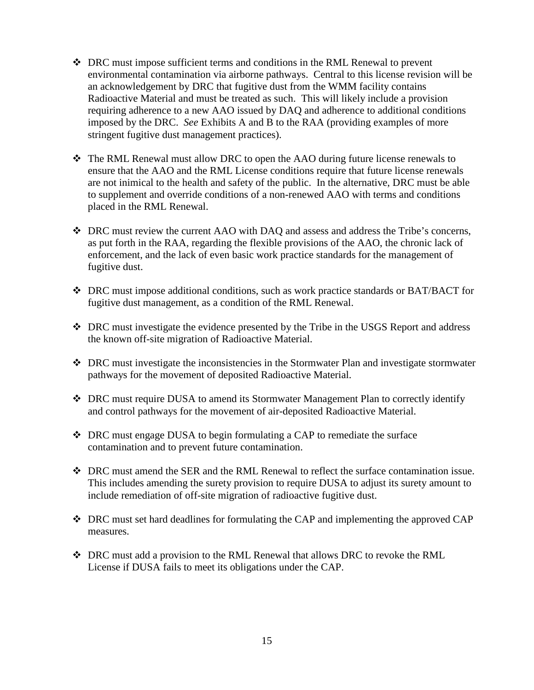- DRC must impose sufficient terms and conditions in the RML Renewal to prevent environmental contamination via airborne pathways. Central to this license revision will be an acknowledgement by DRC that fugitive dust from the WMM facility contains Radioactive Material and must be treated as such. This will likely include a provision requiring adherence to a new AAO issued by DAQ and adherence to additional conditions imposed by the DRC. *See* Exhibits A and B to the RAA (providing examples of more stringent fugitive dust management practices).
- The RML Renewal must allow DRC to open the AAO during future license renewals to ensure that the AAO and the RML License conditions require that future license renewals are not inimical to the health and safety of the public. In the alternative, DRC must be able to supplement and override conditions of a non-renewed AAO with terms and conditions placed in the RML Renewal.
- DRC must review the current AAO with DAQ and assess and address the Tribe's concerns, as put forth in the RAA, regarding the flexible provisions of the AAO, the chronic lack of enforcement, and the lack of even basic work practice standards for the management of fugitive dust.
- DRC must impose additional conditions, such as work practice standards or BAT/BACT for fugitive dust management, as a condition of the RML Renewal.
- DRC must investigate the evidence presented by the Tribe in the USGS Report and address the known off-site migration of Radioactive Material.
- DRC must investigate the inconsistencies in the Stormwater Plan and investigate stormwater pathways for the movement of deposited Radioactive Material.
- DRC must require DUSA to amend its Stormwater Management Plan to correctly identify and control pathways for the movement of air-deposited Radioactive Material.
- DRC must engage DUSA to begin formulating a CAP to remediate the surface contamination and to prevent future contamination.
- DRC must amend the SER and the RML Renewal to reflect the surface contamination issue. This includes amending the surety provision to require DUSA to adjust its surety amount to include remediation of off-site migration of radioactive fugitive dust.
- DRC must set hard deadlines for formulating the CAP and implementing the approved CAP measures.
- DRC must add a provision to the RML Renewal that allows DRC to revoke the RML License if DUSA fails to meet its obligations under the CAP.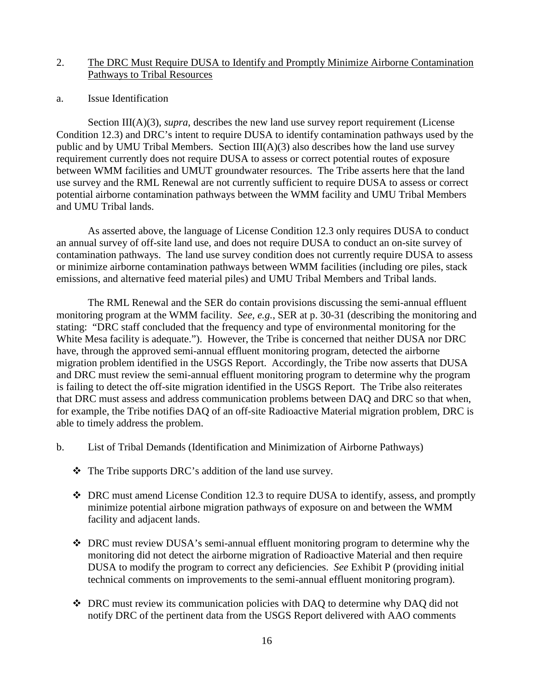## 2. The DRC Must Require DUSA to Identify and Promptly Minimize Airborne Contamination Pathways to Tribal Resources

#### a. Issue Identification

Section III(A)(3), *supra*, describes the new land use survey report requirement (License Condition 12.3) and DRC's intent to require DUSA to identify contamination pathways used by the public and by UMU Tribal Members. Section  $III(A)(3)$  also describes how the land use survey requirement currently does not require DUSA to assess or correct potential routes of exposure between WMM facilities and UMUT groundwater resources. The Tribe asserts here that the land use survey and the RML Renewal are not currently sufficient to require DUSA to assess or correct potential airborne contamination pathways between the WMM facility and UMU Tribal Members and UMU Tribal lands.

As asserted above, the language of License Condition 12.3 only requires DUSA to conduct an annual survey of off-site land use, and does not require DUSA to conduct an on-site survey of contamination pathways. The land use survey condition does not currently require DUSA to assess or minimize airborne contamination pathways between WMM facilities (including ore piles, stack emissions, and alternative feed material piles) and UMU Tribal Members and Tribal lands.

The RML Renewal and the SER do contain provisions discussing the semi-annual effluent monitoring program at the WMM facility. *See, e.g.*, SER at p. 30-31 (describing the monitoring and stating: "DRC staff concluded that the frequency and type of environmental monitoring for the White Mesa facility is adequate."). However, the Tribe is concerned that neither DUSA nor DRC have, through the approved semi-annual effluent monitoring program, detected the airborne migration problem identified in the USGS Report. Accordingly, the Tribe now asserts that DUSA and DRC must review the semi-annual effluent monitoring program to determine why the program is failing to detect the off-site migration identified in the USGS Report. The Tribe also reiterates that DRC must assess and address communication problems between DAQ and DRC so that when, for example, the Tribe notifies DAQ of an off-site Radioactive Material migration problem, DRC is able to timely address the problem.

- b. List of Tribal Demands (Identification and Minimization of Airborne Pathways)
	- The Tribe supports DRC's addition of the land use survey.
	- DRC must amend License Condition 12.3 to require DUSA to identify, assess, and promptly minimize potential airbone migration pathways of exposure on and between the WMM facility and adjacent lands.
	- DRC must review DUSA's semi-annual effluent monitoring program to determine why the monitoring did not detect the airborne migration of Radioactive Material and then require DUSA to modify the program to correct any deficiencies. *See* Exhibit P (providing initial technical comments on improvements to the semi-annual effluent monitoring program).
	- DRC must review its communication policies with DAQ to determine why DAQ did not notify DRC of the pertinent data from the USGS Report delivered with AAO comments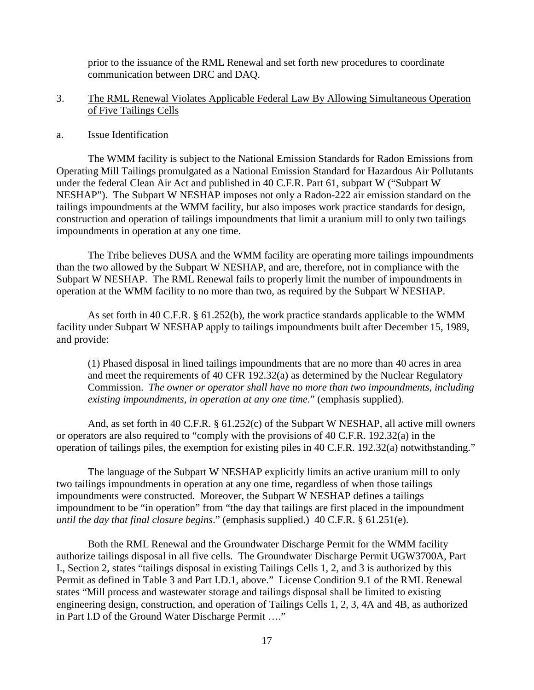prior to the issuance of the RML Renewal and set forth new procedures to coordinate communication between DRC and DAQ.

# 3. The RML Renewal Violates Applicable Federal Law By Allowing Simultaneous Operation of Five Tailings Cells

#### a. Issue Identification

The WMM facility is subject to the National Emission Standards for Radon Emissions from Operating Mill Tailings promulgated as a National Emission Standard for Hazardous Air Pollutants under the federal Clean Air Act and published in 40 C.F.R. Part 61, subpart W ("Subpart W NESHAP"). The Subpart W NESHAP imposes not only a Radon-222 air emission standard on the tailings impoundments at the WMM facility, but also imposes work practice standards for design, construction and operation of tailings impoundments that limit a uranium mill to only two tailings impoundments in operation at any one time.

The Tribe believes DUSA and the WMM facility are operating more tailings impoundments than the two allowed by the Subpart W NESHAP, and are, therefore, not in compliance with the Subpart W NESHAP. The RML Renewal fails to properly limit the number of impoundments in operation at the WMM facility to no more than two, as required by the Subpart W NESHAP.

As set forth in 40 C.F.R. § 61.252(b), the work practice standards applicable to the WMM facility under Subpart W NESHAP apply to tailings impoundments built after December 15, 1989, and provide:

(1) Phased disposal in lined tailings impoundments that are no more than 40 acres in area and meet the requirements of 40 CFR 192.32(a) as determined by the Nuclear Regulatory Commission. *The owner or operator shall have no more than two impoundments, including existing impoundments, in operation at any one time*." (emphasis supplied).

And, as set forth in 40 C.F.R. § 61.252(c) of the Subpart W NESHAP, all active mill owners or operators are also required to "comply with the provisions of 40 C.F.R. 192.32(a) in the operation of tailings piles, the exemption for existing piles in 40 C.F.R. 192.32(a) notwithstanding."

The language of the Subpart W NESHAP explicitly limits an active uranium mill to only two tailings impoundments in operation at any one time, regardless of when those tailings impoundments were constructed. Moreover, the Subpart W NESHAP defines a tailings impoundment to be "in operation" from "the day that tailings are first placed in the impoundment *until the day that final closure begins*." (emphasis supplied.) 40 C.F.R. § 61.251(e).

Both the RML Renewal and the Groundwater Discharge Permit for the WMM facility authorize tailings disposal in all five cells. The Groundwater Discharge Permit UGW3700A, Part I., Section 2, states "tailings disposal in existing Tailings Cells 1, 2, and 3 is authorized by this Permit as defined in Table 3 and Part I.D.1, above." License Condition 9.1 of the RML Renewal states "Mill process and wastewater storage and tailings disposal shall be limited to existing engineering design, construction, and operation of Tailings Cells 1, 2, 3, 4A and 4B, as authorized in Part I.D of the Ground Water Discharge Permit …."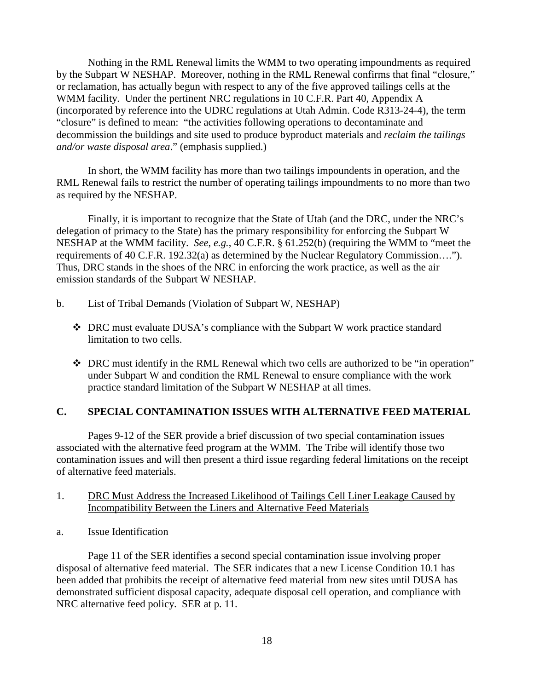Nothing in the RML Renewal limits the WMM to two operating impoundments as required by the Subpart W NESHAP. Moreover, nothing in the RML Renewal confirms that final "closure," or reclamation, has actually begun with respect to any of the five approved tailings cells at the WMM facility. Under the pertinent NRC regulations in 10 C.F.R. Part 40, Appendix A (incorporated by reference into the UDRC regulations at Utah Admin. Code R313-24-4), the term "closure" is defined to mean: "the activities following operations to decontaminate and decommission the buildings and site used to produce byproduct materials and *reclaim the tailings and/or waste disposal area*." (emphasis supplied.)

In short, the WMM facility has more than two tailings impoundents in operation, and the RML Renewal fails to restrict the number of operating tailings impoundments to no more than two as required by the NESHAP.

Finally, it is important to recognize that the State of Utah (and the DRC, under the NRC's delegation of primacy to the State) has the primary responsibility for enforcing the Subpart W NESHAP at the WMM facility. *See*, *e.g.*, 40 C.F.R. § 61.252(b) (requiring the WMM to "meet the requirements of 40 C.F.R. 192.32(a) as determined by the Nuclear Regulatory Commission…."). Thus, DRC stands in the shoes of the NRC in enforcing the work practice, as well as the air emission standards of the Subpart W NESHAP.

- b. List of Tribal Demands (Violation of Subpart W, NESHAP)
	- DRC must evaluate DUSA's compliance with the Subpart W work practice standard limitation to two cells.
	- DRC must identify in the RML Renewal which two cells are authorized to be "in operation" under Subpart W and condition the RML Renewal to ensure compliance with the work practice standard limitation of the Subpart W NESHAP at all times.

# **C. SPECIAL CONTAMINATION ISSUES WITH ALTERNATIVE FEED MATERIAL**

Pages 9-12 of the SER provide a brief discussion of two special contamination issues associated with the alternative feed program at the WMM. The Tribe will identify those two contamination issues and will then present a third issue regarding federal limitations on the receipt of alternative feed materials.

## 1. DRC Must Address the Increased Likelihood of Tailings Cell Liner Leakage Caused by Incompatibility Between the Liners and Alternative Feed Materials

a. Issue Identification

Page 11 of the SER identifies a second special contamination issue involving proper disposal of alternative feed material. The SER indicates that a new License Condition 10.1 has been added that prohibits the receipt of alternative feed material from new sites until DUSA has demonstrated sufficient disposal capacity, adequate disposal cell operation, and compliance with NRC alternative feed policy. SER at p. 11.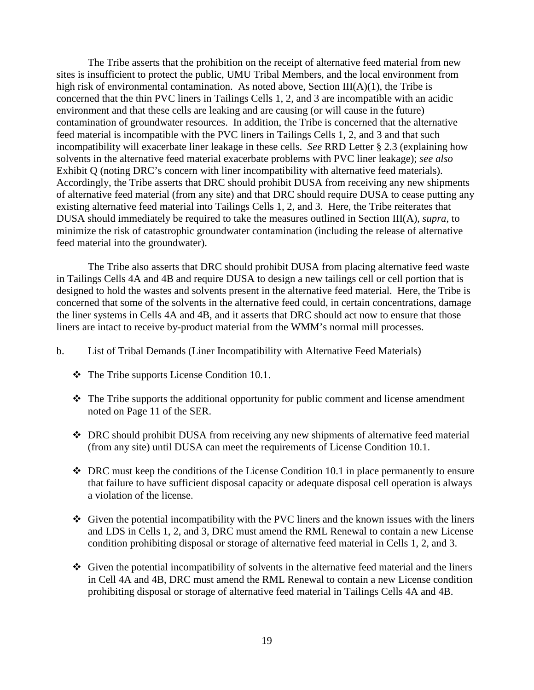The Tribe asserts that the prohibition on the receipt of alternative feed material from new sites is insufficient to protect the public, UMU Tribal Members, and the local environment from high risk of environmental contamination. As noted above, Section  $III(A)(1)$ , the Tribe is concerned that the thin PVC liners in Tailings Cells 1, 2, and 3 are incompatible with an acidic environment and that these cells are leaking and are causing (or will cause in the future) contamination of groundwater resources. In addition, the Tribe is concerned that the alternative feed material is incompatible with the PVC liners in Tailings Cells 1, 2, and 3 and that such incompatibility will exacerbate liner leakage in these cells. *See* RRD Letter § 2.3 (explaining how solvents in the alternative feed material exacerbate problems with PVC liner leakage); *see also* Exhibit Q (noting DRC's concern with liner incompatibility with alternative feed materials). Accordingly, the Tribe asserts that DRC should prohibit DUSA from receiving any new shipments of alternative feed material (from any site) and that DRC should require DUSA to cease putting any existing alternative feed material into Tailings Cells 1, 2, and 3. Here, the Tribe reiterates that DUSA should immediately be required to take the measures outlined in Section III(A), *supra*, to minimize the risk of catastrophic groundwater contamination (including the release of alternative feed material into the groundwater).

The Tribe also asserts that DRC should prohibit DUSA from placing alternative feed waste in Tailings Cells 4A and 4B and require DUSA to design a new tailings cell or cell portion that is designed to hold the wastes and solvents present in the alternative feed material. Here, the Tribe is concerned that some of the solvents in the alternative feed could, in certain concentrations, damage the liner systems in Cells 4A and 4B, and it asserts that DRC should act now to ensure that those liners are intact to receive by-product material from the WMM's normal mill processes.

- b. List of Tribal Demands (Liner Incompatibility with Alternative Feed Materials)
	- $\div$  The Tribe supports License Condition 10.1.
	- $\hat{\cdot}$  The Tribe supports the additional opportunity for public comment and license amendment noted on Page 11 of the SER.
	- DRC should prohibit DUSA from receiving any new shipments of alternative feed material (from any site) until DUSA can meet the requirements of License Condition 10.1.
	- $\triangleleft$  DRC must keep the conditions of the License Condition 10.1 in place permanently to ensure that failure to have sufficient disposal capacity or adequate disposal cell operation is always a violation of the license.
	- Given the potential incompatibility with the PVC liners and the known issues with the liners and LDS in Cells 1, 2, and 3, DRC must amend the RML Renewal to contain a new License condition prohibiting disposal or storage of alternative feed material in Cells 1, 2, and 3.
	- $\triangleleft$  Given the potential incompatibility of solvents in the alternative feed material and the liners in Cell 4A and 4B, DRC must amend the RML Renewal to contain a new License condition prohibiting disposal or storage of alternative feed material in Tailings Cells 4A and 4B.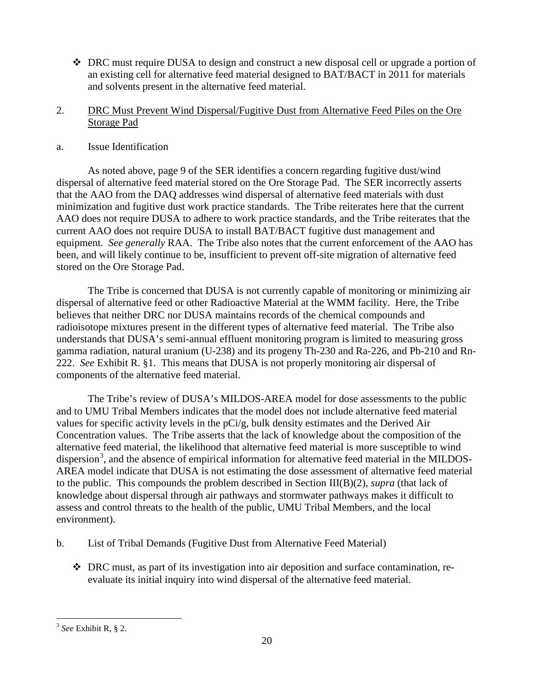DRC must require DUSA to design and construct a new disposal cell or upgrade a portion of an existing cell for alternative feed material designed to BAT/BACT in 2011 for materials and solvents present in the alternative feed material.

# 2. DRC Must Prevent Wind Dispersal/Fugitive Dust from Alternative Feed Piles on the Ore Storage Pad

# a. Issue Identification

As noted above, page 9 of the SER identifies a concern regarding fugitive dust/wind dispersal of alternative feed material stored on the Ore Storage Pad. The SER incorrectly asserts that the AAO from the DAQ addresses wind dispersal of alternative feed materials with dust minimization and fugitive dust work practice standards. The Tribe reiterates here that the current AAO does not require DUSA to adhere to work practice standards, and the Tribe reiterates that the current AAO does not require DUSA to install BAT/BACT fugitive dust management and equipment. *See generally* RAA. The Tribe also notes that the current enforcement of the AAO has been, and will likely continue to be, insufficient to prevent off-site migration of alternative feed stored on the Ore Storage Pad.

The Tribe is concerned that DUSA is not currently capable of monitoring or minimizing air dispersal of alternative feed or other Radioactive Material at the WMM facility. Here, the Tribe believes that neither DRC nor DUSA maintains records of the chemical compounds and radioisotope mixtures present in the different types of alternative feed material. The Tribe also understands that DUSA's semi-annual effluent monitoring program is limited to measuring gross gamma radiation, natural uranium (U-238) and its progeny Th-230 and Ra-226, and Pb-210 and Rn-222. *See* Exhibit R. §1. This means that DUSA is not properly monitoring air dispersal of components of the alternative feed material.

The Tribe's review of DUSA's MILDOS-AREA model for dose assessments to the public and to UMU Tribal Members indicates that the model does not include alternative feed material values for specific activity levels in the pCi/g, bulk density estimates and the Derived Air Concentration values. The Tribe asserts that the lack of knowledge about the composition of the alternative feed material, the likelihood that alternative feed material is more susceptible to wind dispersion<sup>[3](#page-19-0)</sup>, and the absence of empirical information for alternative feed material in the MILDOS-AREA model indicate that DUSA is not estimating the dose assessment of alternative feed material to the public. This compounds the problem described in Section III(B)(2), *supra* (that lack of knowledge about dispersal through air pathways and stormwater pathways makes it difficult to assess and control threats to the health of the public, UMU Tribal Members, and the local environment).

- b. List of Tribal Demands (Fugitive Dust from Alternative Feed Material)
	- $\bullet$  DRC must, as part of its investigation into air deposition and surface contamination, reevaluate its initial inquiry into wind dispersal of the alternative feed material.

<span id="page-19-0"></span> <sup>3</sup> *See* Exhibit R, § 2.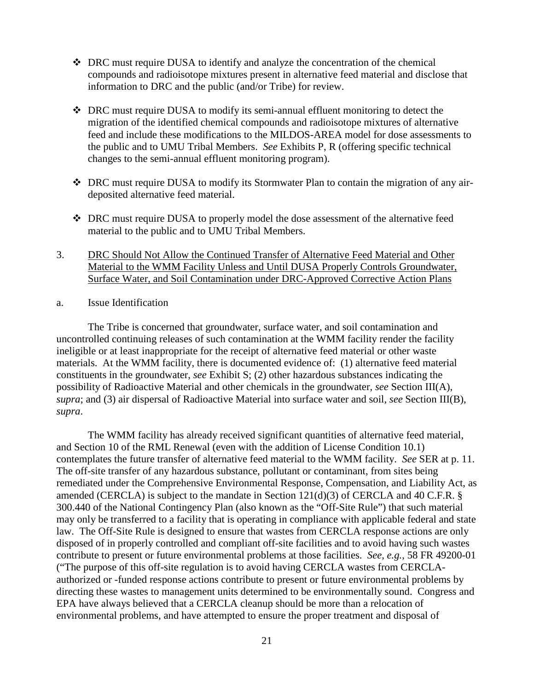- DRC must require DUSA to identify and analyze the concentration of the chemical compounds and radioisotope mixtures present in alternative feed material and disclose that information to DRC and the public (and/or Tribe) for review.
- DRC must require DUSA to modify its semi-annual effluent monitoring to detect the migration of the identified chemical compounds and radioisotope mixtures of alternative feed and include these modifications to the MILDOS-AREA model for dose assessments to the public and to UMU Tribal Members. *See* Exhibits P, R (offering specific technical changes to the semi-annual effluent monitoring program).
- DRC must require DUSA to modify its Stormwater Plan to contain the migration of any airdeposited alternative feed material.
- DRC must require DUSA to properly model the dose assessment of the alternative feed material to the public and to UMU Tribal Members.
- 3. DRC Should Not Allow the Continued Transfer of Alternative Feed Material and Other Material to the WMM Facility Unless and Until DUSA Properly Controls Groundwater, Surface Water, and Soil Contamination under DRC-Approved Corrective Action Plans
- a. Issue Identification

The Tribe is concerned that groundwater, surface water, and soil contamination and uncontrolled continuing releases of such contamination at the WMM facility render the facility ineligible or at least inappropriate for the receipt of alternative feed material or other waste materials. At the WMM facility, there is documented evidence of: (1) alternative feed material constituents in the groundwater, *see* Exhibit S; (2) other hazardous substances indicating the possibility of Radioactive Material and other chemicals in the groundwater, *see* Section III(A), *supra*; and (3) air dispersal of Radioactive Material into surface water and soil, *see* Section III(B), *supra*.

The WMM facility has already received significant quantities of alternative feed material, and Section 10 of the RML Renewal (even with the addition of License Condition 10.1) contemplates the future transfer of alternative feed material to the WMM facility. *See* SER at p. 11. The off-site transfer of any hazardous substance, pollutant or contaminant, from sites being remediated under the Comprehensive Environmental Response, Compensation, and Liability Act, as amended (CERCLA) is subject to the mandate in Section 121(d)(3) of CERCLA and 40 C.F.R. § 300.440 of the National Contingency Plan (also known as the "Off-Site Rule") that such material may only be transferred to a facility that is operating in compliance with applicable federal and state law. The Off-Site Rule is designed to ensure that wastes from CERCLA response actions are only disposed of in properly controlled and compliant off-site facilities and to avoid having such wastes contribute to present or future environmental problems at those facilities. *See, e.g.*, 58 FR 49200-01 ("The purpose of this off-site regulation is to avoid having CERCLA wastes from CERCLAauthorized or -funded response actions contribute to present or future environmental problems by directing these wastes to management units determined to be environmentally sound. Congress and EPA have always believed that a CERCLA cleanup should be more than a relocation of environmental problems, and have attempted to ensure the proper treatment and disposal of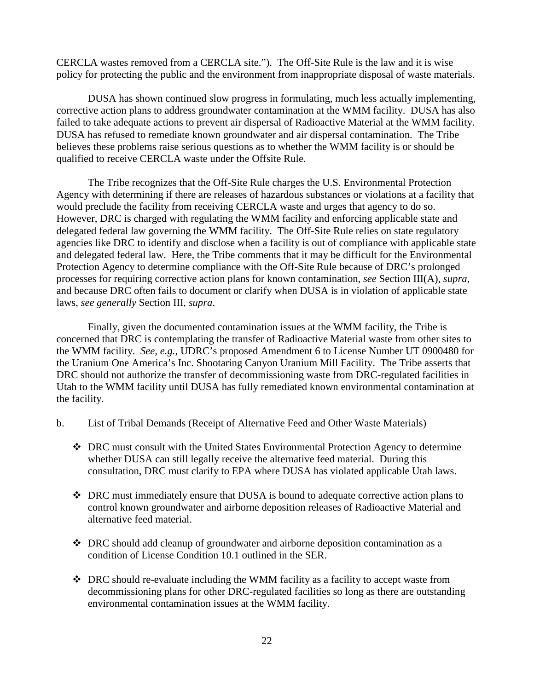CERCLA wastes removed from a CERCLA site."). The Off-Site Rule is the law and it is wise policy for protecting the public and the environment from inappropriate disposal of waste materials.

DUSA has shown continued slow progress in formulating, much less actually implementing, corrective action plans to address groundwater contamination at the WMM facility. DUSA has also failed to take adequate actions to prevent air dispersal of Radioactive Material at the WMM facility. DUSA has refused to remediate known groundwater and air dispersal contamination. The Tribe believes these problems raise serious questions as to whether the WMM facility is or should be qualified to receive CERCLA waste under the Offsite Rule.

The Tribe recognizes that the Off-Site Rule charges the U.S. Environmental Protection Agency with determining if there are releases of hazardous substances or violations at a facility that would preclude the facility from receiving CERCLA waste and urges that agency to do so. However, DRC is charged with regulating the WMM facility and enforcing applicable state and delegated federal law governing the WMM facility. The Off-Site Rule relies on state regulatory agencies like DRC to identify and disclose when a facility is out of compliance with applicable state and delegated federal law. Here, the Tribe comments that it may be difficult for the Environmental Protection Agency to determine compliance with the Off-Site Rule because of DRC's prolonged processes for requiring corrective action plans for known contamination, *see* Section III(A), *supra*, and because DRC often fails to document or clarify when DUSA is in violation of applicable state laws, *see generally* Section III, *supra*.

Finally, given the documented contamination issues at the WMM facility, the Tribe is concerned that DRC is contemplating the transfer of Radioactive Material waste from other sites to the WMM facility. *See, e.g.*, UDRC's proposed Amendment 6 to License Number UT 0900480 for the Uranium One America's Inc. Shootaring Canyon Uranium Mill Facility. The Tribe asserts that DRC should not authorize the transfer of decommissioning waste from DRC-regulated facilities in Utah to the WMM facility until DUSA has fully remediated known environmental contamination at the facility.

- b. List of Tribal Demands (Receipt of Alternative Feed and Other Waste Materials)
	- DRC must consult with the United States Environmental Protection Agency to determine whether DUSA can still legally receive the alternative feed material. During this consultation, DRC must clarify to EPA where DUSA has violated applicable Utah laws.
	- DRC must immediately ensure that DUSA is bound to adequate corrective action plans to control known groundwater and airborne deposition releases of Radioactive Material and alternative feed material.
	- $\bullet$  DRC should add cleanup of groundwater and airborne deposition contamination as a condition of License Condition 10.1 outlined in the SER.
	- DRC should re-evaluate including the WMM facility as a facility to accept waste from decommissioning plans for other DRC-regulated facilities so long as there are outstanding environmental contamination issues at the WMM facility.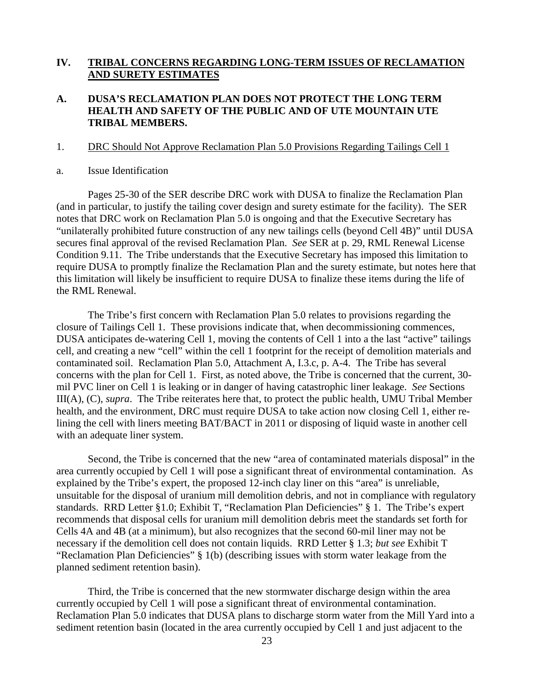# **IV. TRIBAL CONCERNS REGARDING LONG-TERM ISSUES OF RECLAMATION AND SURETY ESTIMATES**

# **A. DUSA'S RECLAMATION PLAN DOES NOT PROTECT THE LONG TERM HEALTH AND SAFETY OF THE PUBLIC AND OF UTE MOUNTAIN UTE TRIBAL MEMBERS.**

#### 1. DRC Should Not Approve Reclamation Plan 5.0 Provisions Regarding Tailings Cell 1

#### a. Issue Identification

Pages 25-30 of the SER describe DRC work with DUSA to finalize the Reclamation Plan (and in particular, to justify the tailing cover design and surety estimate for the facility). The SER notes that DRC work on Reclamation Plan 5.0 is ongoing and that the Executive Secretary has "unilaterally prohibited future construction of any new tailings cells (beyond Cell 4B)" until DUSA secures final approval of the revised Reclamation Plan. *See* SER at p. 29, RML Renewal License Condition 9.11. The Tribe understands that the Executive Secretary has imposed this limitation to require DUSA to promptly finalize the Reclamation Plan and the surety estimate, but notes here that this limitation will likely be insufficient to require DUSA to finalize these items during the life of the RML Renewal.

The Tribe's first concern with Reclamation Plan 5.0 relates to provisions regarding the closure of Tailings Cell 1. These provisions indicate that, when decommissioning commences, DUSA anticipates de-watering Cell 1, moving the contents of Cell 1 into a the last "active" tailings cell, and creating a new "cell" within the cell 1 footprint for the receipt of demolition materials and contaminated soil. Reclamation Plan 5.0, Attachment A, I.3.c, p. A-4. The Tribe has several concerns with the plan for Cell 1. First, as noted above, the Tribe is concerned that the current, 30 mil PVC liner on Cell 1 is leaking or in danger of having catastrophic liner leakage. *See* Sections III(A), (C), *supra*. The Tribe reiterates here that, to protect the public health, UMU Tribal Member health, and the environment, DRC must require DUSA to take action now closing Cell 1, either relining the cell with liners meeting BAT/BACT in 2011 or disposing of liquid waste in another cell with an adequate liner system.

Second, the Tribe is concerned that the new "area of contaminated materials disposal" in the area currently occupied by Cell 1 will pose a significant threat of environmental contamination. As explained by the Tribe's expert, the proposed 12-inch clay liner on this "area" is unreliable, unsuitable for the disposal of uranium mill demolition debris, and not in compliance with regulatory standards. RRD Letter §1.0; Exhibit T, "Reclamation Plan Deficiencies" § 1. The Tribe's expert recommends that disposal cells for uranium mill demolition debris meet the standards set forth for Cells 4A and 4B (at a minimum), but also recognizes that the second 60-mil liner may not be necessary if the demolition cell does not contain liquids. RRD Letter § 1.3; *but see* Exhibit T "Reclamation Plan Deficiencies" § 1(b) (describing issues with storm water leakage from the planned sediment retention basin).

Third, the Tribe is concerned that the new stormwater discharge design within the area currently occupied by Cell 1 will pose a significant threat of environmental contamination. Reclamation Plan 5.0 indicates that DUSA plans to discharge storm water from the Mill Yard into a sediment retention basin (located in the area currently occupied by Cell 1 and just adjacent to the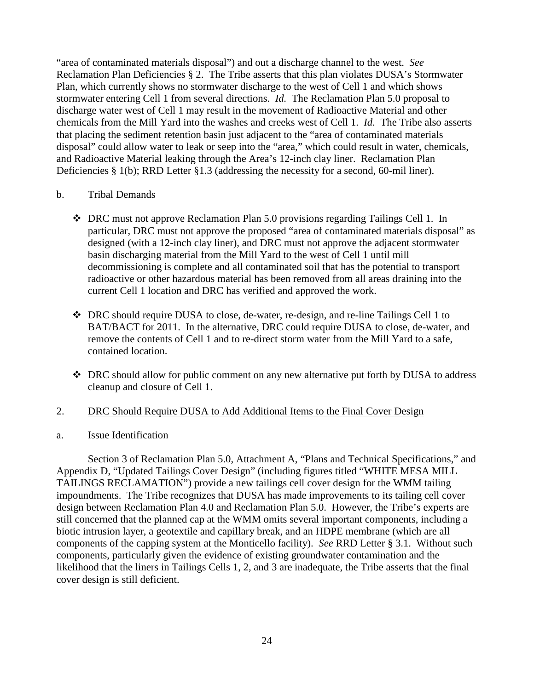"area of contaminated materials disposal") and out a discharge channel to the west. *See* Reclamation Plan Deficiencies § 2. The Tribe asserts that this plan violates DUSA's Stormwater Plan, which currently shows no stormwater discharge to the west of Cell 1 and which shows stormwater entering Cell 1 from several directions. *Id.* The Reclamation Plan 5.0 proposal to discharge water west of Cell 1 may result in the movement of Radioactive Material and other chemicals from the Mill Yard into the washes and creeks west of Cell 1. *Id.* The Tribe also asserts that placing the sediment retention basin just adjacent to the "area of contaminated materials disposal" could allow water to leak or seep into the "area," which could result in water, chemicals, and Radioactive Material leaking through the Area's 12-inch clay liner. Reclamation Plan Deficiencies § 1(b); RRD Letter §1.3 (addressing the necessity for a second, 60-mil liner).

## b. Tribal Demands

- DRC must not approve Reclamation Plan 5.0 provisions regarding Tailings Cell 1. In particular, DRC must not approve the proposed "area of contaminated materials disposal" as designed (with a 12-inch clay liner), and DRC must not approve the adjacent stormwater basin discharging material from the Mill Yard to the west of Cell 1 until mill decommissioning is complete and all contaminated soil that has the potential to transport radioactive or other hazardous material has been removed from all areas draining into the current Cell 1 location and DRC has verified and approved the work.
- DRC should require DUSA to close, de-water, re-design, and re-line Tailings Cell 1 to BAT/BACT for 2011. In the alternative, DRC could require DUSA to close, de-water, and remove the contents of Cell 1 and to re-direct storm water from the Mill Yard to a safe, contained location.
- DRC should allow for public comment on any new alternative put forth by DUSA to address cleanup and closure of Cell 1.

## 2. DRC Should Require DUSA to Add Additional Items to the Final Cover Design

## a. Issue Identification

Section 3 of Reclamation Plan 5.0, Attachment A, "Plans and Technical Specifications," and Appendix D, "Updated Tailings Cover Design" (including figures titled "WHITE MESA MILL TAILINGS RECLAMATION") provide a new tailings cell cover design for the WMM tailing impoundments. The Tribe recognizes that DUSA has made improvements to its tailing cell cover design between Reclamation Plan 4.0 and Reclamation Plan 5.0. However, the Tribe's experts are still concerned that the planned cap at the WMM omits several important components, including a biotic intrusion layer, a geotextile and capillary break, and an HDPE membrane (which are all components of the capping system at the Monticello facility). *See* RRD Letter § 3.1. Without such components, particularly given the evidence of existing groundwater contamination and the likelihood that the liners in Tailings Cells 1, 2, and 3 are inadequate, the Tribe asserts that the final cover design is still deficient.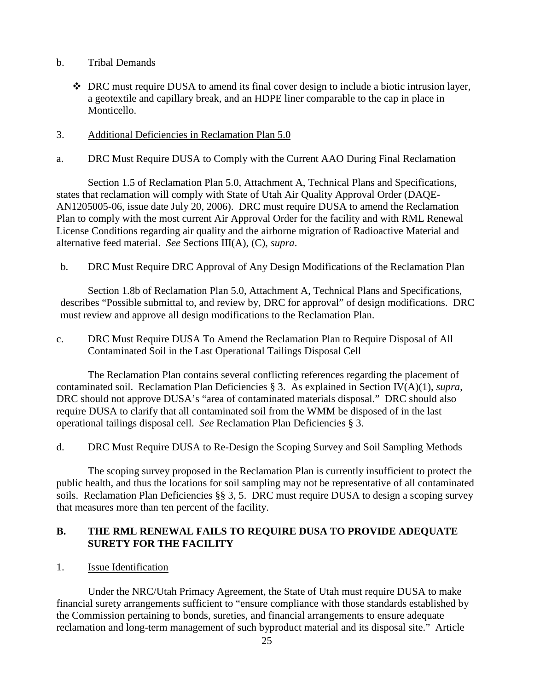- b. Tribal Demands
	- DRC must require DUSA to amend its final cover design to include a biotic intrusion layer, a geotextile and capillary break, and an HDPE liner comparable to the cap in place in Monticello.
- 3. Additional Deficiencies in Reclamation Plan 5.0
- a. DRC Must Require DUSA to Comply with the Current AAO During Final Reclamation

Section 1.5 of Reclamation Plan 5.0, Attachment A, Technical Plans and Specifications, states that reclamation will comply with State of Utah Air Quality Approval Order (DAQE-AN1205005-06, issue date July 20, 2006). DRC must require DUSA to amend the Reclamation Plan to comply with the most current Air Approval Order for the facility and with RML Renewal License Conditions regarding air quality and the airborne migration of Radioactive Material and alternative feed material. *See* Sections III(A), (C), *supra*.

b. DRC Must Require DRC Approval of Any Design Modifications of the Reclamation Plan

Section 1.8b of Reclamation Plan 5.0, Attachment A, Technical Plans and Specifications, describes "Possible submittal to, and review by, DRC for approval" of design modifications. DRC must review and approve all design modifications to the Reclamation Plan.

c. DRC Must Require DUSA To Amend the Reclamation Plan to Require Disposal of All Contaminated Soil in the Last Operational Tailings Disposal Cell

The Reclamation Plan contains several conflicting references regarding the placement of contaminated soil. Reclamation Plan Deficiencies § 3. As explained in Section IV(A)(1), *supra*, DRC should not approve DUSA's "area of contaminated materials disposal." DRC should also require DUSA to clarify that all contaminated soil from the WMM be disposed of in the last operational tailings disposal cell. *See* Reclamation Plan Deficiencies § 3.

d. DRC Must Require DUSA to Re-Design the Scoping Survey and Soil Sampling Methods

The scoping survey proposed in the Reclamation Plan is currently insufficient to protect the public health, and thus the locations for soil sampling may not be representative of all contaminated soils. Reclamation Plan Deficiencies §§ 3, 5. DRC must require DUSA to design a scoping survey that measures more than ten percent of the facility.

# **B. THE RML RENEWAL FAILS TO REQUIRE DUSA TO PROVIDE ADEQUATE SURETY FOR THE FACILITY**

1. Issue Identification

Under the NRC/Utah Primacy Agreement, the State of Utah must require DUSA to make financial surety arrangements sufficient to "ensure compliance with those standards established by the Commission pertaining to bonds, sureties, and financial arrangements to ensure adequate reclamation and long-term management of such byproduct material and its disposal site." Article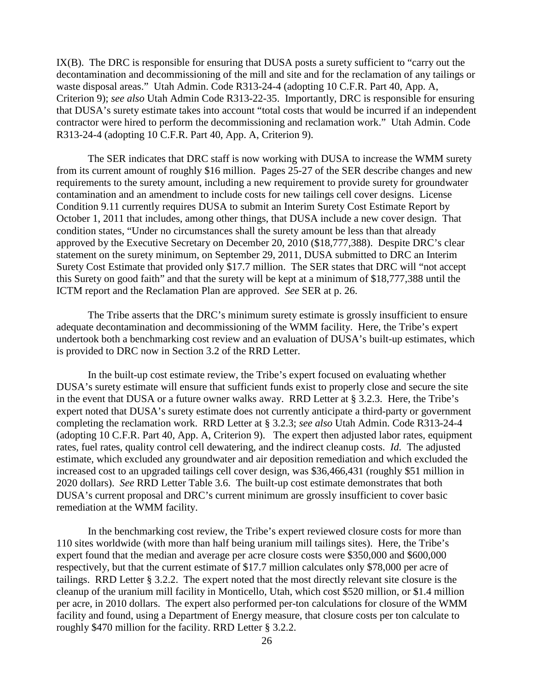IX(B). The DRC is responsible for ensuring that DUSA posts a surety sufficient to "carry out the decontamination and decommissioning of the mill and site and for the reclamation of any tailings or waste disposal areas." Utah Admin. Code R313-24-4 (adopting 10 C.F.R. Part 40, App. A, Criterion 9); *see also* Utah Admin Code R313-22-35. Importantly, DRC is responsible for ensuring that DUSA's surety estimate takes into account "total costs that would be incurred if an independent contractor were hired to perform the decommissioning and reclamation work." Utah Admin. Code R313-24-4 (adopting 10 C.F.R. Part 40, App. A, Criterion 9).

The SER indicates that DRC staff is now working with DUSA to increase the WMM surety from its current amount of roughly \$16 million. Pages 25-27 of the SER describe changes and new requirements to the surety amount, including a new requirement to provide surety for groundwater contamination and an amendment to include costs for new tailings cell cover designs. License Condition 9.11 currently requires DUSA to submit an Interim Surety Cost Estimate Report by October 1, 2011 that includes, among other things, that DUSA include a new cover design. That condition states, "Under no circumstances shall the surety amount be less than that already approved by the Executive Secretary on December 20, 2010 (\$18,777,388). Despite DRC's clear statement on the surety minimum, on September 29, 2011, DUSA submitted to DRC an Interim Surety Cost Estimate that provided only \$17.7 million. The SER states that DRC will "not accept this Surety on good faith" and that the surety will be kept at a minimum of \$18,777,388 until the ICTM report and the Reclamation Plan are approved. *See* SER at p. 26.

The Tribe asserts that the DRC's minimum surety estimate is grossly insufficient to ensure adequate decontamination and decommissioning of the WMM facility. Here, the Tribe's expert undertook both a benchmarking cost review and an evaluation of DUSA's built-up estimates, which is provided to DRC now in Section 3.2 of the RRD Letter.

In the built-up cost estimate review, the Tribe's expert focused on evaluating whether DUSA's surety estimate will ensure that sufficient funds exist to properly close and secure the site in the event that DUSA or a future owner walks away. RRD Letter at § 3.2.3. Here, the Tribe's expert noted that DUSA's surety estimate does not currently anticipate a third-party or government completing the reclamation work. RRD Letter at § 3.2.3; *see also* Utah Admin. Code R313-24-4 (adopting 10 C.F.R. Part 40, App. A, Criterion 9). The expert then adjusted labor rates, equipment rates, fuel rates, quality control cell dewatering, and the indirect cleanup costs. *Id.* The adjusted estimate, which excluded any groundwater and air deposition remediation and which excluded the increased cost to an upgraded tailings cell cover design, was \$36,466,431 (roughly \$51 million in 2020 dollars). *See* RRD Letter Table 3.6. The built-up cost estimate demonstrates that both DUSA's current proposal and DRC's current minimum are grossly insufficient to cover basic remediation at the WMM facility.

In the benchmarking cost review, the Tribe's expert reviewed closure costs for more than 110 sites worldwide (with more than half being uranium mill tailings sites). Here, the Tribe's expert found that the median and average per acre closure costs were \$350,000 and \$600,000 respectively, but that the current estimate of \$17.7 million calculates only \$78,000 per acre of tailings. RRD Letter § 3.2.2. The expert noted that the most directly relevant site closure is the cleanup of the uranium mill facility in Monticello, Utah, which cost \$520 million, or \$1.4 million per acre, in 2010 dollars. The expert also performed per-ton calculations for closure of the WMM facility and found, using a Department of Energy measure, that closure costs per ton calculate to roughly \$470 million for the facility. RRD Letter § 3.2.2.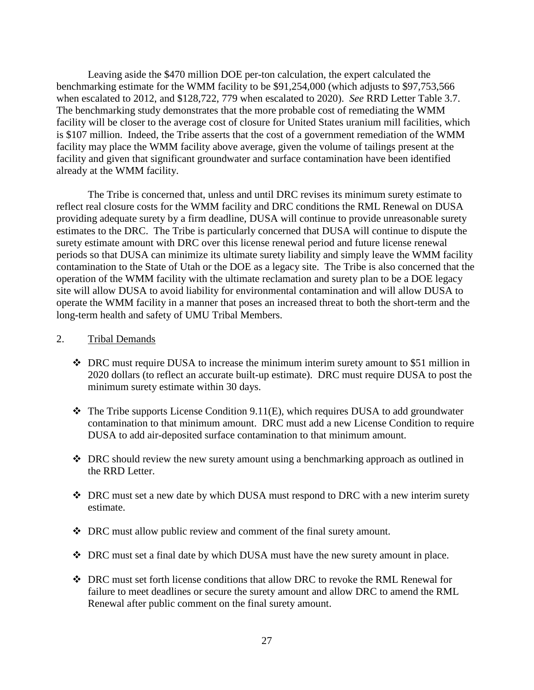Leaving aside the \$470 million DOE per-ton calculation, the expert calculated the benchmarking estimate for the WMM facility to be \$91,254,000 (which adjusts to \$97,753,566 when escalated to 2012, and \$128,722, 779 when escalated to 2020). *See* RRD Letter Table 3.7. The benchmarking study demonstrates that the more probable cost of remediating the WMM facility will be closer to the average cost of closure for United States uranium mill facilities, which is \$107 million. Indeed, the Tribe asserts that the cost of a government remediation of the WMM facility may place the WMM facility above average, given the volume of tailings present at the facility and given that significant groundwater and surface contamination have been identified already at the WMM facility.

The Tribe is concerned that, unless and until DRC revises its minimum surety estimate to reflect real closure costs for the WMM facility and DRC conditions the RML Renewal on DUSA providing adequate surety by a firm deadline, DUSA will continue to provide unreasonable surety estimates to the DRC. The Tribe is particularly concerned that DUSA will continue to dispute the surety estimate amount with DRC over this license renewal period and future license renewal periods so that DUSA can minimize its ultimate surety liability and simply leave the WMM facility contamination to the State of Utah or the DOE as a legacy site. The Tribe is also concerned that the operation of the WMM facility with the ultimate reclamation and surety plan to be a DOE legacy site will allow DUSA to avoid liability for environmental contamination and will allow DUSA to operate the WMM facility in a manner that poses an increased threat to both the short-term and the long-term health and safety of UMU Tribal Members.

#### 2. Tribal Demands

- $\bullet$  DRC must require DUSA to increase the minimum interim surety amount to \$51 million in 2020 dollars (to reflect an accurate built-up estimate). DRC must require DUSA to post the minimum surety estimate within 30 days.
- $\triangle$  The Tribe supports License Condition 9.11(E), which requires DUSA to add groundwater contamination to that minimum amount. DRC must add a new License Condition to require DUSA to add air-deposited surface contamination to that minimum amount.
- DRC should review the new surety amount using a benchmarking approach as outlined in the RRD Letter.
- DRC must set a new date by which DUSA must respond to DRC with a new interim surety estimate.
- DRC must allow public review and comment of the final surety amount.
- DRC must set a final date by which DUSA must have the new surety amount in place.
- DRC must set forth license conditions that allow DRC to revoke the RML Renewal for failure to meet deadlines or secure the surety amount and allow DRC to amend the RML Renewal after public comment on the final surety amount.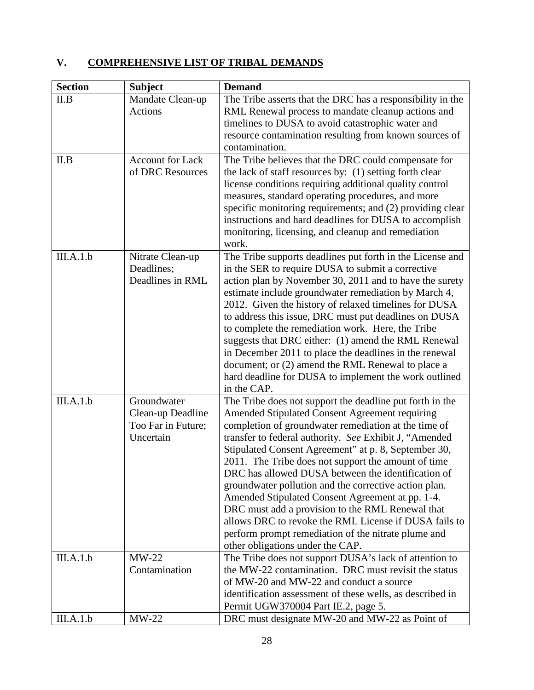# **V. COMPREHENSIVE LIST OF TRIBAL DEMANDS**

| <b>Section</b> | <b>Subject</b>          | <b>Demand</b>                                                                                                |
|----------------|-------------------------|--------------------------------------------------------------------------------------------------------------|
| II.B           | Mandate Clean-up        | The Tribe asserts that the DRC has a responsibility in the                                                   |
|                | Actions                 | RML Renewal process to mandate cleanup actions and                                                           |
|                |                         | timelines to DUSA to avoid catastrophic water and                                                            |
|                |                         | resource contamination resulting from known sources of                                                       |
|                |                         | contamination.                                                                                               |
| II.B           | <b>Account for Lack</b> | The Tribe believes that the DRC could compensate for                                                         |
|                | of DRC Resources        | the lack of staff resources by: (1) setting forth clear                                                      |
|                |                         | license conditions requiring additional quality control<br>measures, standard operating procedures, and more |
|                |                         | specific monitoring requirements; and (2) providing clear                                                    |
|                |                         | instructions and hard deadlines for DUSA to accomplish                                                       |
|                |                         | monitoring, licensing, and cleanup and remediation                                                           |
|                |                         | work.                                                                                                        |
| III.A.1.b      | Nitrate Clean-up        | The Tribe supports deadlines put forth in the License and                                                    |
|                | Deadlines;              | in the SER to require DUSA to submit a corrective                                                            |
|                | Deadlines in RML        | action plan by November 30, 2011 and to have the surety                                                      |
|                |                         | estimate include groundwater remediation by March 4,                                                         |
|                |                         | 2012. Given the history of relaxed timelines for DUSA                                                        |
|                |                         | to address this issue, DRC must put deadlines on DUSA                                                        |
|                |                         | to complete the remediation work. Here, the Tribe                                                            |
|                |                         | suggests that DRC either: (1) amend the RML Renewal                                                          |
|                |                         | in December 2011 to place the deadlines in the renewal                                                       |
|                |                         | document; or (2) amend the RML Renewal to place a<br>hard deadline for DUSA to implement the work outlined   |
|                |                         | in the CAP.                                                                                                  |
| III.A.1.b      | Groundwater             | The Tribe does not support the deadline put forth in the                                                     |
|                | Clean-up Deadline       | <b>Amended Stipulated Consent Agreement requiring</b>                                                        |
|                | Too Far in Future;      | completion of groundwater remediation at the time of                                                         |
|                | Uncertain               | transfer to federal authority. See Exhibit J, "Amended                                                       |
|                |                         | Stipulated Consent Agreement" at p. 8, September 30,                                                         |
|                |                         | 2011. The Tribe does not support the amount of time                                                          |
|                |                         | DRC has allowed DUSA between the identification of                                                           |
|                |                         | groundwater pollution and the corrective action plan.                                                        |
|                |                         | Amended Stipulated Consent Agreement at pp. 1-4.                                                             |
|                |                         | DRC must add a provision to the RML Renewal that                                                             |
|                |                         | allows DRC to revoke the RML License if DUSA fails to                                                        |
|                |                         | perform prompt remediation of the nitrate plume and<br>other obligations under the CAP.                      |
| III.A.1.b      | $MW-22$                 | The Tribe does not support DUSA's lack of attention to                                                       |
|                | Contamination           | the MW-22 contamination. DRC must revisit the status                                                         |
|                |                         | of MW-20 and MW-22 and conduct a source                                                                      |
|                |                         | identification assessment of these wells, as described in                                                    |
|                |                         | Permit UGW370004 Part IE.2, page 5.                                                                          |
| III.A.1.b      | $MW-22$                 | DRC must designate MW-20 and MW-22 as Point of                                                               |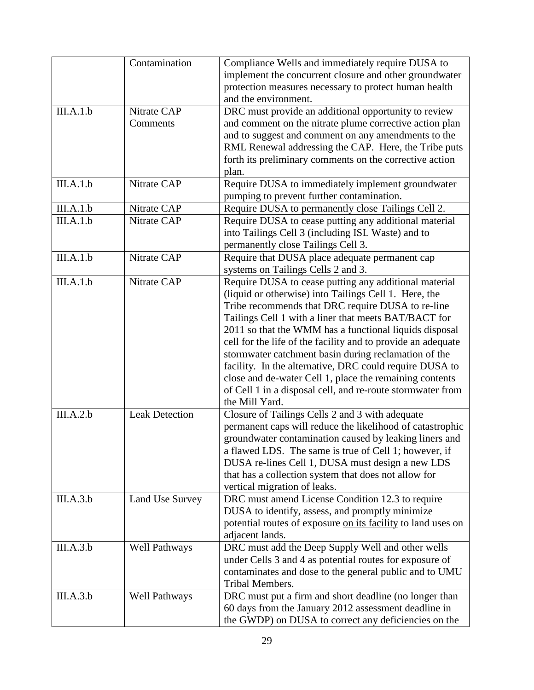|           | Contamination         | Compliance Wells and immediately require DUSA to<br>implement the concurrent closure and other groundwater<br>protection measures necessary to protect human health |
|-----------|-----------------------|---------------------------------------------------------------------------------------------------------------------------------------------------------------------|
|           |                       | and the environment.                                                                                                                                                |
| III.A.1.b | Nitrate CAP           | DRC must provide an additional opportunity to review                                                                                                                |
|           | Comments              | and comment on the nitrate plume corrective action plan                                                                                                             |
|           |                       | and to suggest and comment on any amendments to the                                                                                                                 |
|           |                       | RML Renewal addressing the CAP. Here, the Tribe puts                                                                                                                |
|           |                       | forth its preliminary comments on the corrective action                                                                                                             |
|           |                       | plan.                                                                                                                                                               |
| III.A.1.b | Nitrate CAP           | Require DUSA to immediately implement groundwater                                                                                                                   |
|           |                       | pumping to prevent further contamination.                                                                                                                           |
| III.A.1.b | Nitrate CAP           | Require DUSA to permanently close Tailings Cell 2.                                                                                                                  |
| III.A.1.b | Nitrate CAP           | Require DUSA to cease putting any additional material                                                                                                               |
|           |                       | into Tailings Cell 3 (including ISL Waste) and to                                                                                                                   |
|           |                       | permanently close Tailings Cell 3.                                                                                                                                  |
| III.A.1.b | Nitrate CAP           | Require that DUSA place adequate permanent cap                                                                                                                      |
|           |                       | systems on Tailings Cells 2 and 3.                                                                                                                                  |
| III.A.1.b | Nitrate CAP           | Require DUSA to cease putting any additional material                                                                                                               |
|           |                       | (liquid or otherwise) into Tailings Cell 1. Here, the                                                                                                               |
|           |                       | Tribe recommends that DRC require DUSA to re-line                                                                                                                   |
|           |                       | Tailings Cell 1 with a liner that meets BAT/BACT for                                                                                                                |
|           |                       | 2011 so that the WMM has a functional liquids disposal                                                                                                              |
|           |                       | cell for the life of the facility and to provide an adequate                                                                                                        |
|           |                       | stormwater catchment basin during reclamation of the                                                                                                                |
|           |                       | facility. In the alternative, DRC could require DUSA to                                                                                                             |
|           |                       | close and de-water Cell 1, place the remaining contents                                                                                                             |
|           |                       | of Cell 1 in a disposal cell, and re-route stormwater from                                                                                                          |
|           |                       | the Mill Yard.                                                                                                                                                      |
| III.A.2.b | <b>Leak Detection</b> | Closure of Tailings Cells 2 and 3 with adequate                                                                                                                     |
|           |                       | permanent caps will reduce the likelihood of catastrophic                                                                                                           |
|           |                       | groundwater contamination caused by leaking liners and                                                                                                              |
|           |                       | a flawed LDS. The same is true of Cell 1; however, if                                                                                                               |
|           |                       | DUSA re-lines Cell 1, DUSA must design a new LDS                                                                                                                    |
|           |                       | that has a collection system that does not allow for                                                                                                                |
|           |                       | vertical migration of leaks.                                                                                                                                        |
| III.A.3.b | Land Use Survey       | DRC must amend License Condition 12.3 to require                                                                                                                    |
|           |                       | DUSA to identify, assess, and promptly minimize                                                                                                                     |
|           |                       | potential routes of exposure on its facility to land uses on                                                                                                        |
|           |                       | adjacent lands.                                                                                                                                                     |
| III.A.3.b | <b>Well Pathways</b>  | DRC must add the Deep Supply Well and other wells                                                                                                                   |
|           |                       | under Cells 3 and 4 as potential routes for exposure of                                                                                                             |
|           |                       | contaminates and dose to the general public and to UMU                                                                                                              |
|           |                       | Tribal Members.                                                                                                                                                     |
| III.A.3.b | Well Pathways         | DRC must put a firm and short deadline (no longer than                                                                                                              |
|           |                       | 60 days from the January 2012 assessment deadline in                                                                                                                |
|           |                       | the GWDP) on DUSA to correct any deficiencies on the                                                                                                                |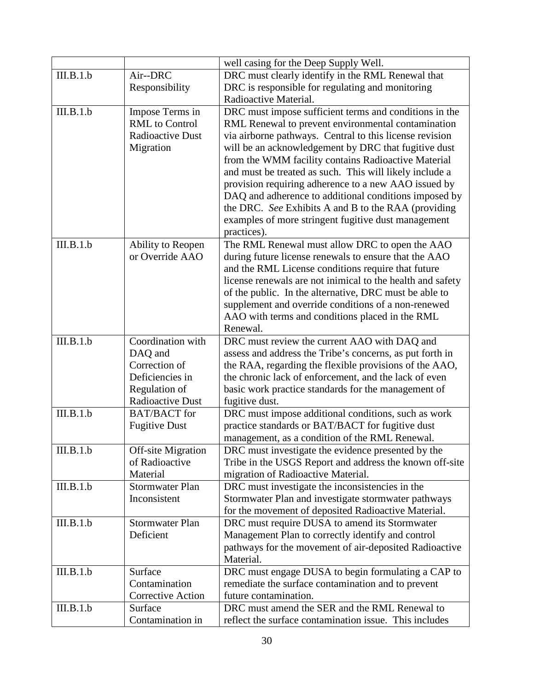|           |                           | well casing for the Deep Supply Well.                      |
|-----------|---------------------------|------------------------------------------------------------|
| III.B.1.b | Air--DRC                  | DRC must clearly identify in the RML Renewal that          |
|           | Responsibility            | DRC is responsible for regulating and monitoring           |
|           |                           | Radioactive Material.                                      |
| III.B.1.b | Impose Terms in           | DRC must impose sufficient terms and conditions in the     |
|           | <b>RML</b> to Control     | RML Renewal to prevent environmental contamination         |
|           | <b>Radioactive Dust</b>   | via airborne pathways. Central to this license revision    |
|           | Migration                 | will be an acknowledgement by DRC that fugitive dust       |
|           |                           | from the WMM facility contains Radioactive Material        |
|           |                           | and must be treated as such. This will likely include a    |
|           |                           | provision requiring adherence to a new AAO issued by       |
|           |                           | DAQ and adherence to additional conditions imposed by      |
|           |                           | the DRC. See Exhibits A and B to the RAA (providing        |
|           |                           | examples of more stringent fugitive dust management        |
|           |                           | practices).                                                |
| III.B.1.b | Ability to Reopen         | The RML Renewal must allow DRC to open the AAO             |
|           | or Override AAO           | during future license renewals to ensure that the AAO      |
|           |                           | and the RML License conditions require that future         |
|           |                           | license renewals are not inimical to the health and safety |
|           |                           | of the public. In the alternative, DRC must be able to     |
|           |                           | supplement and override conditions of a non-renewed        |
|           |                           | AAO with terms and conditions placed in the RML            |
|           |                           | Renewal.                                                   |
| III.B.1.b | Coordination with         | DRC must review the current AAO with DAQ and               |
|           | DAQ and                   | assess and address the Tribe's concerns, as put forth in   |
|           | Correction of             | the RAA, regarding the flexible provisions of the AAO,     |
|           | Deficiencies in           | the chronic lack of enforcement, and the lack of even      |
|           | Regulation of             | basic work practice standards for the management of        |
|           | <b>Radioactive Dust</b>   | fugitive dust.                                             |
| III.B.1.b | <b>BAT/BACT</b> for       | DRC must impose additional conditions, such as work        |
|           | <b>Fugitive Dust</b>      | practice standards or BAT/BACT for fugitive dust           |
|           |                           | management, as a condition of the RML Renewal.             |
| III.B.1.b | <b>Off-site Migration</b> | DRC must investigate the evidence presented by the         |
|           | of Radioactive            | Tribe in the USGS Report and address the known off-site    |
|           | Material                  | migration of Radioactive Material.                         |
| III.B.1.b | <b>Stormwater Plan</b>    | DRC must investigate the inconsistencies in the            |
|           | Inconsistent              | Stormwater Plan and investigate stormwater pathways        |
|           |                           | for the movement of deposited Radioactive Material.        |
| III.B.1.b | <b>Stormwater Plan</b>    | DRC must require DUSA to amend its Stormwater              |
|           | Deficient                 | Management Plan to correctly identify and control          |
|           |                           | pathways for the movement of air-deposited Radioactive     |
|           |                           | Material.                                                  |
| III.B.1.b | Surface                   | DRC must engage DUSA to begin formulating a CAP to         |
|           | Contamination             | remediate the surface contamination and to prevent         |
|           | Corrective Action         | future contamination.                                      |
| III.B.1.b | Surface                   | DRC must amend the SER and the RML Renewal to              |
|           | Contamination in          | reflect the surface contamination issue. This includes     |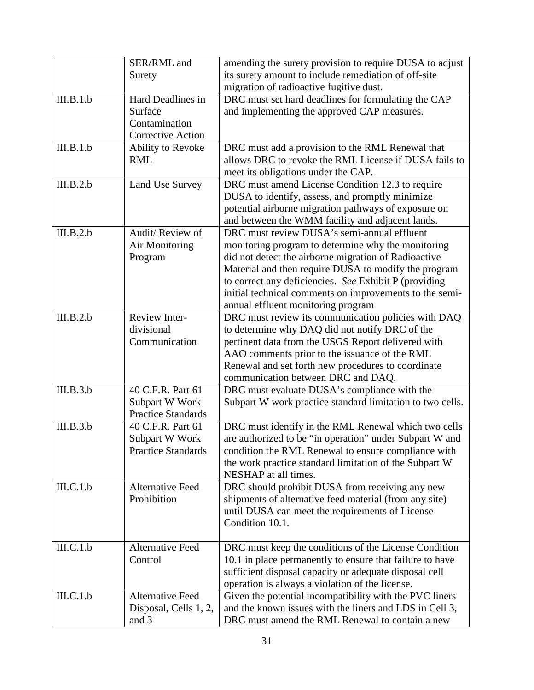|           | SER/RML and               | amending the surety provision to require DUSA to adjust                        |
|-----------|---------------------------|--------------------------------------------------------------------------------|
|           | Surety                    | its surety amount to include remediation of off-site                           |
|           |                           | migration of radioactive fugitive dust.                                        |
| III.B.1.b | Hard Deadlines in         | DRC must set hard deadlines for formulating the CAP                            |
|           | Surface                   | and implementing the approved CAP measures.                                    |
|           | Contamination             |                                                                                |
|           | <b>Corrective Action</b>  |                                                                                |
| III.B.1.b | Ability to Revoke         | DRC must add a provision to the RML Renewal that                               |
|           | <b>RML</b>                | allows DRC to revoke the RML License if DUSA fails to                          |
|           |                           | meet its obligations under the CAP.                                            |
| III.B.2.b | Land Use Survey           | DRC must amend License Condition 12.3 to require                               |
|           |                           | DUSA to identify, assess, and promptly minimize                                |
|           |                           | potential airborne migration pathways of exposure on                           |
|           |                           | and between the WMM facility and adjacent lands.                               |
| III.B.2.b | Audit/Review of           | DRC must review DUSA's semi-annual effluent                                    |
|           | Air Monitoring            | monitoring program to determine why the monitoring                             |
|           | Program                   | did not detect the airborne migration of Radioactive                           |
|           |                           | Material and then require DUSA to modify the program                           |
|           |                           | to correct any deficiencies. See Exhibit P (providing                          |
|           |                           | initial technical comments on improvements to the semi-                        |
|           |                           | annual effluent monitoring program                                             |
| III.B.2.b | Review Inter-             | DRC must review its communication policies with DAQ                            |
|           | divisional                | to determine why DAQ did not notify DRC of the                                 |
|           | Communication             | pertinent data from the USGS Report delivered with                             |
|           |                           | AAO comments prior to the issuance of the RML                                  |
|           |                           | Renewal and set forth new procedures to coordinate                             |
|           |                           | communication between DRC and DAQ.                                             |
| III.B.3.b | 40 C.F.R. Part 61         | DRC must evaluate DUSA's compliance with the                                   |
|           | Subpart W Work            | Subpart W work practice standard limitation to two cells.                      |
|           | <b>Practice Standards</b> |                                                                                |
| III.B.3.b | 40 C.F.R. Part 61         | DRC must identify in the RML Renewal which two cells                           |
|           | Subpart W Work            | are authorized to be "in operation" under Subpart W and                        |
|           | <b>Practice Standards</b> | condition the RML Renewal to ensure compliance with                            |
|           |                           | the work practice standard limitation of the Subpart W<br>NESHAP at all times. |
| III.C.1.b | <b>Alternative Feed</b>   | DRC should prohibit DUSA from receiving any new                                |
|           | Prohibition               | shipments of alternative feed material (from any site)                         |
|           |                           | until DUSA can meet the requirements of License                                |
|           |                           | Condition 10.1.                                                                |
|           |                           |                                                                                |
| III.C.1.b | <b>Alternative Feed</b>   | DRC must keep the conditions of the License Condition                          |
|           | Control                   | 10.1 in place permanently to ensure that failure to have                       |
|           |                           | sufficient disposal capacity or adequate disposal cell                         |
|           |                           | operation is always a violation of the license.                                |
| III.C.1.b | <b>Alternative Feed</b>   | Given the potential incompatibility with the PVC liners                        |
|           | Disposal, Cells 1, 2,     | and the known issues with the liners and LDS in Cell 3,                        |
|           | and 3                     | DRC must amend the RML Renewal to contain a new                                |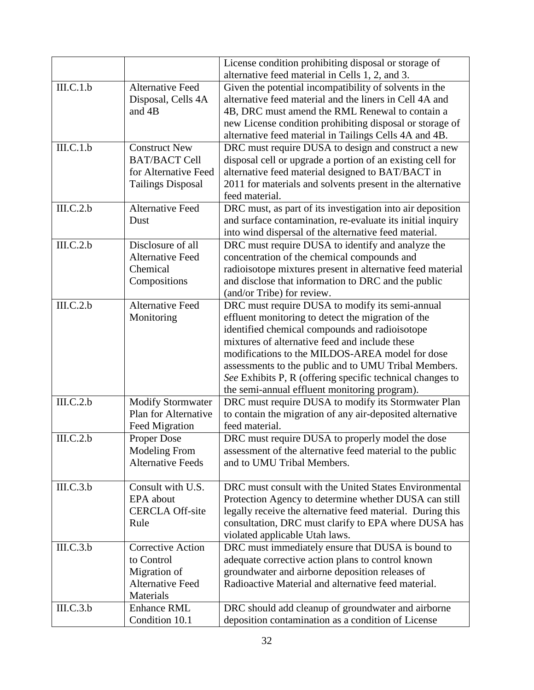|           |                             | License condition prohibiting disposal or storage of<br>alternative feed material in Cells 1, 2, and 3. |
|-----------|-----------------------------|---------------------------------------------------------------------------------------------------------|
| III.C.1.b | <b>Alternative Feed</b>     | Given the potential incompatibility of solvents in the                                                  |
|           | Disposal, Cells 4A          | alternative feed material and the liners in Cell 4A and                                                 |
|           | and 4B                      | 4B, DRC must amend the RML Renewal to contain a                                                         |
|           |                             | new License condition prohibiting disposal or storage of                                                |
|           |                             | alternative feed material in Tailings Cells 4A and 4B.                                                  |
| III.C.1.b | <b>Construct New</b>        | DRC must require DUSA to design and construct a new                                                     |
|           | <b>BAT/BACT Cell</b>        | disposal cell or upgrade a portion of an existing cell for                                              |
|           | for Alternative Feed        | alternative feed material designed to BAT/BACT in                                                       |
|           | <b>Tailings Disposal</b>    | 2011 for materials and solvents present in the alternative                                              |
|           |                             | feed material.                                                                                          |
| III.C.2.b | <b>Alternative Feed</b>     | DRC must, as part of its investigation into air deposition                                              |
|           | Dust                        | and surface contamination, re-evaluate its initial inquiry                                              |
|           |                             | into wind dispersal of the alternative feed material.                                                   |
| III.C.2.b | Disclosure of all           | DRC must require DUSA to identify and analyze the                                                       |
|           | <b>Alternative Feed</b>     | concentration of the chemical compounds and                                                             |
|           | Chemical                    | radioisotope mixtures present in alternative feed material                                              |
|           | Compositions                | and disclose that information to DRC and the public                                                     |
|           |                             | (and/or Tribe) for review.                                                                              |
| III.C.2.b | <b>Alternative Feed</b>     | DRC must require DUSA to modify its semi-annual                                                         |
|           | Monitoring                  | effluent monitoring to detect the migration of the                                                      |
|           |                             | identified chemical compounds and radioisotope<br>mixtures of alternative feed and include these        |
|           |                             | modifications to the MILDOS-AREA model for dose                                                         |
|           |                             | assessments to the public and to UMU Tribal Members.                                                    |
|           |                             | See Exhibits P, R (offering specific technical changes to                                               |
|           |                             | the semi-annual effluent monitoring program).                                                           |
| III.C.2.b | <b>Modify Stormwater</b>    | DRC must require DUSA to modify its Stormwater Plan                                                     |
|           | <b>Plan for Alternative</b> | to contain the migration of any air-deposited alternative                                               |
|           | Feed Migration              | feed material.                                                                                          |
| III.C.2.b | <b>Proper Dose</b>          | DRC must require DUSA to properly model the dose                                                        |
|           | <b>Modeling From</b>        | assessment of the alternative feed material to the public                                               |
|           | <b>Alternative Feeds</b>    | and to UMU Tribal Members.                                                                              |
|           |                             |                                                                                                         |
| III.C.3.b | Consult with U.S.           | DRC must consult with the United States Environmental                                                   |
|           | EPA about                   | Protection Agency to determine whether DUSA can still                                                   |
|           | <b>CERCLA Off-site</b>      | legally receive the alternative feed material. During this                                              |
|           | Rule                        | consultation, DRC must clarify to EPA where DUSA has                                                    |
|           |                             | violated applicable Utah laws.                                                                          |
| III.C.3.b | <b>Corrective Action</b>    | DRC must immediately ensure that DUSA is bound to                                                       |
|           | to Control                  | adequate corrective action plans to control known                                                       |
|           | Migration of                | groundwater and airborne deposition releases of                                                         |
|           | <b>Alternative Feed</b>     | Radioactive Material and alternative feed material.                                                     |
|           | Materials                   |                                                                                                         |
| III.C.3.b | <b>Enhance RML</b>          | DRC should add cleanup of groundwater and airborne                                                      |
|           | Condition 10.1              | deposition contamination as a condition of License                                                      |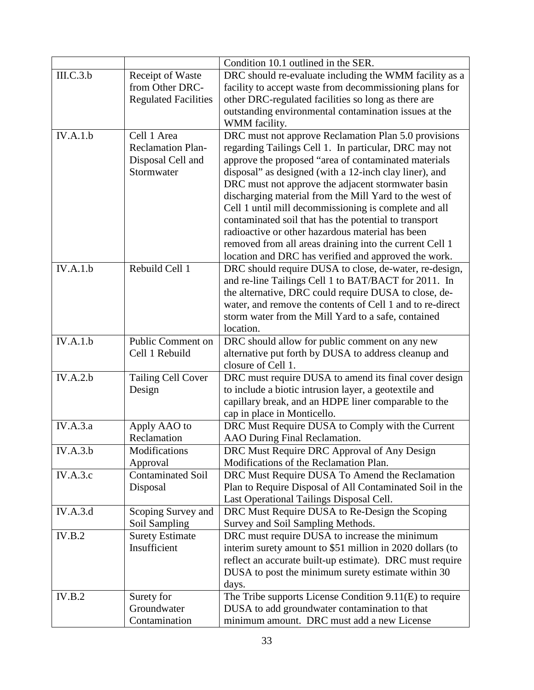|                 |                                     | Condition 10.1 outlined in the SER.                                                 |
|-----------------|-------------------------------------|-------------------------------------------------------------------------------------|
| III.C.3.b       | Receipt of Waste                    | DRC should re-evaluate including the WMM facility as a                              |
|                 | from Other DRC-                     | facility to accept waste from decommissioning plans for                             |
|                 | <b>Regulated Facilities</b>         | other DRC-regulated facilities so long as there are                                 |
|                 |                                     | outstanding environmental contamination issues at the                               |
|                 |                                     | WMM facility.                                                                       |
| IV.A.1.b        | Cell 1 Area                         | DRC must not approve Reclamation Plan 5.0 provisions                                |
|                 | <b>Reclamation Plan-</b>            | regarding Tailings Cell 1. In particular, DRC may not                               |
|                 | Disposal Cell and                   | approve the proposed "area of contaminated materials                                |
|                 | Stormwater                          | disposal" as designed (with a 12-inch clay liner), and                              |
|                 |                                     | DRC must not approve the adjacent stormwater basin                                  |
|                 |                                     | discharging material from the Mill Yard to the west of                              |
|                 |                                     | Cell 1 until mill decommissioning is complete and all                               |
|                 |                                     | contaminated soil that has the potential to transport                               |
|                 |                                     | radioactive or other hazardous material has been                                    |
|                 |                                     | removed from all areas draining into the current Cell 1                             |
|                 |                                     | location and DRC has verified and approved the work.                                |
| IV.A.1.b        | Rebuild Cell 1                      | DRC should require DUSA to close, de-water, re-design,                              |
|                 |                                     | and re-line Tailings Cell 1 to BAT/BACT for 2011. In                                |
|                 |                                     | the alternative, DRC could require DUSA to close, de-                               |
|                 |                                     | water, and remove the contents of Cell 1 and to re-direct                           |
|                 |                                     | storm water from the Mill Yard to a safe, contained                                 |
|                 |                                     | location.                                                                           |
| IV.A.1.b        | Public Comment on                   | DRC should allow for public comment on any new                                      |
|                 | Cell 1 Rebuild                      | alternative put forth by DUSA to address cleanup and                                |
|                 |                                     | closure of Cell 1.                                                                  |
| IV.A.2.b        | Tailing Cell Cover                  | DRC must require DUSA to amend its final cover design                               |
|                 | Design                              | to include a biotic intrusion layer, a geotextile and                               |
|                 |                                     | capillary break, and an HDPE liner comparable to the                                |
|                 |                                     | cap in place in Monticello.                                                         |
| <b>IV.A.3.a</b> | Apply AAO to                        | DRC Must Require DUSA to Comply with the Current                                    |
|                 | Reclamation                         | AAO During Final Reclamation.                                                       |
| IV.A.3.b        | Modifications                       | DRC Must Require DRC Approval of Any Design                                         |
|                 | Approval                            | Modifications of the Reclamation Plan.                                              |
| IV.A.3.c        | <b>Contaminated Soil</b>            | DRC Must Require DUSA To Amend the Reclamation                                      |
|                 | Disposal                            | Plan to Require Disposal of All Contaminated Soil in the                            |
| IV.A.3.d        |                                     | Last Operational Tailings Disposal Cell.                                            |
|                 | Scoping Survey and<br>Soil Sampling | DRC Must Require DUSA to Re-Design the Scoping<br>Survey and Soil Sampling Methods. |
| IV.B.2          | <b>Surety Estimate</b>              | DRC must require DUSA to increase the minimum                                       |
|                 | Insufficient                        | interim surety amount to \$51 million in 2020 dollars (to                           |
|                 |                                     | reflect an accurate built-up estimate). DRC must require                            |
|                 |                                     | DUSA to post the minimum surety estimate within 30                                  |
|                 |                                     | days.                                                                               |
| IV.B.2          | Surety for                          | The Tribe supports License Condition 9.11(E) to require                             |
|                 | Groundwater                         | DUSA to add groundwater contamination to that                                       |
|                 | Contamination                       | minimum amount. DRC must add a new License                                          |
|                 |                                     |                                                                                     |